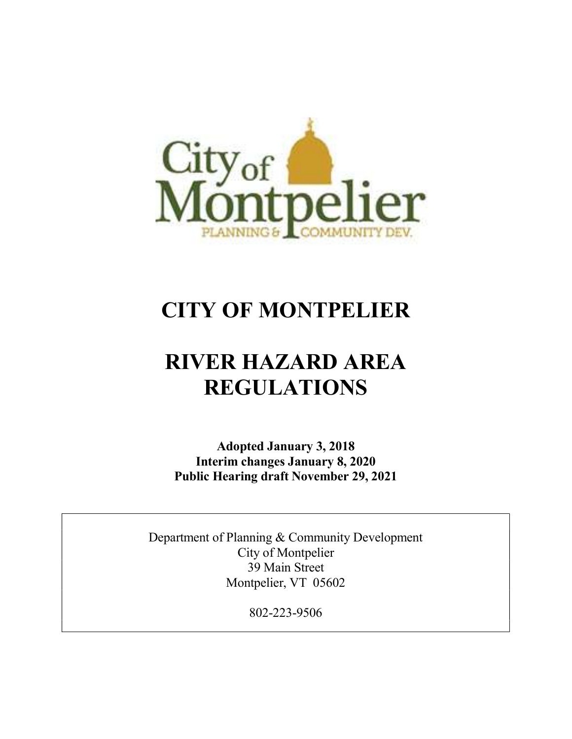

# CITY OF MONTPELIER

# RIVER HAZARD AREA REGULATIONS

Adopted January 3, 2018 Interim changes January 8, 2020 Public Hearing draft November 29, 2021

Department of Planning & Community Development City of Montpelier 39 Main Street Montpelier, VT 05602

802-223-9506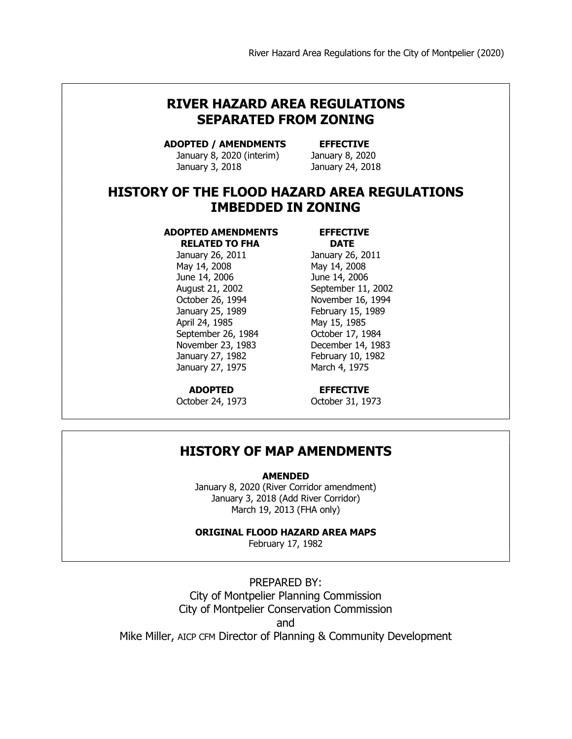#### RIVER HAZARD AREA REGULATIONS SEPARATED FROM ZONING

ADOPTED / AMENDMENTS EFFECTIVE

 January 8, 2020 (interim) January 8, 2020 January 3, 2018 January 24, 2018

### HISTORY OF THE FLOOD HAZARD AREA REGULATIONS IMBEDDED IN ZONING

### ADOPTED AMENDMENTS EFFECTIVE

 January 26, 2011 January 26, 2011 May 14, 2008 May 14, 2008 June 14, 2006 June 14, 2006 August 21, 2002 September 11, 2002 October 26, 1994 November 16, 1994 January 25, 1989 February 15, 1989 April 24, 1985 May 15, 1985 September 26, 1984 October 17, 1984 November 23, 1983 December 14, 1983 January 27, 1982 February 10, 1982 January 27, 1975 March 4, 1975

October 24, 1973 October 31, 1973

RELATED TO FHA DATE

#### ADOPTED EFFECTIVE

#### HISTORY OF MAP AMENDMENTS

AMENDED

January 8, 2020 (River Corridor amendment) January 3, 2018 (Add River Corridor) March 19, 2013 (FHA only)

#### ORIGINAL FLOOD HAZARD AREA MAPS

February 17, 1982

PREPARED BY:

City of Montpelier Planning Commission

City of Montpelier Conservation Commission

and

Mike Miller, AICP CFM Director of Planning & Community Development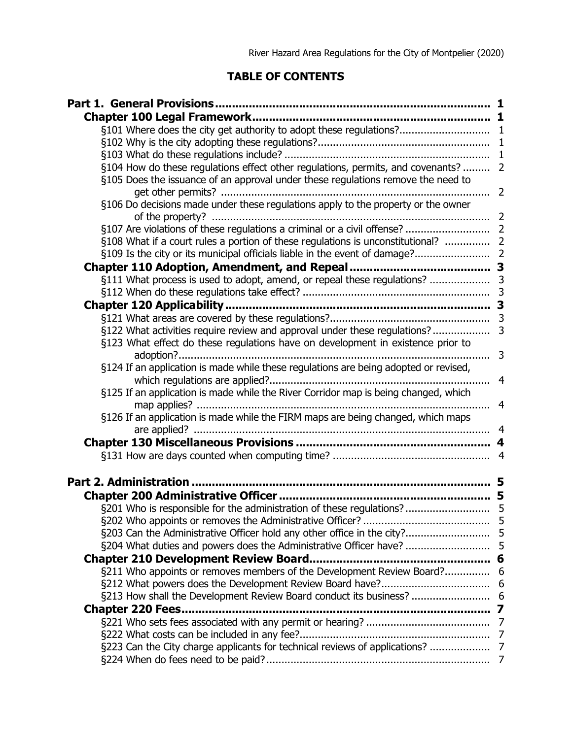### TABLE OF CONTENTS

|                                                                                                                                                              | $\mathbf{1}$            |
|--------------------------------------------------------------------------------------------------------------------------------------------------------------|-------------------------|
|                                                                                                                                                              |                         |
|                                                                                                                                                              |                         |
|                                                                                                                                                              |                         |
|                                                                                                                                                              |                         |
| §104 How do these regulations effect other regulations, permits, and covenants?  2                                                                           |                         |
| §105 Does the issuance of an approval under these regulations remove the need to                                                                             |                         |
|                                                                                                                                                              |                         |
| §106 Do decisions made under these regulations apply to the property or the owner                                                                            |                         |
|                                                                                                                                                              |                         |
| §108 What if a court rules a portion of these regulations is unconstitutional?  2                                                                            |                         |
|                                                                                                                                                              |                         |
|                                                                                                                                                              |                         |
| §111 What process is used to adopt, amend, or repeal these regulations?                                                                                      | $\overline{\mathbf{3}}$ |
|                                                                                                                                                              | $\overline{\mathbf{3}}$ |
|                                                                                                                                                              |                         |
|                                                                                                                                                              | $\overline{3}$          |
| §122 What activities require review and approval under these regulations?<br>§123 What effect do these regulations have on development in existence prior to |                         |
|                                                                                                                                                              | $\overline{3}$          |
| §124 If an application is made while these regulations are being adopted or revised,                                                                         |                         |
| which regulations are applied?                                                                                                                               |                         |
| §125 If an application is made while the River Corridor map is being changed, which                                                                          | 4                       |
| §126 If an application is made while the FIRM maps are being changed, which maps                                                                             |                         |
|                                                                                                                                                              | 4                       |
|                                                                                                                                                              |                         |
|                                                                                                                                                              | $\overline{4}$          |
|                                                                                                                                                              |                         |
| <b>Part 2. Administration.</b>                                                                                                                               |                         |
|                                                                                                                                                              |                         |
| §201 Who is responsible for the administration of these regulations? 5                                                                                       |                         |
|                                                                                                                                                              |                         |
|                                                                                                                                                              |                         |
| §204 What duties and powers does the Administrative Officer have?  5                                                                                         |                         |
|                                                                                                                                                              |                         |
| §211 Who appoints or removes members of the Development Review Board? 6                                                                                      |                         |
|                                                                                                                                                              |                         |
| §213 How shall the Development Review Board conduct its business?  6                                                                                         |                         |
|                                                                                                                                                              |                         |
|                                                                                                                                                              |                         |
| §223 Can the City charge applicants for technical reviews of applications?                                                                                   |                         |
|                                                                                                                                                              |                         |
|                                                                                                                                                              |                         |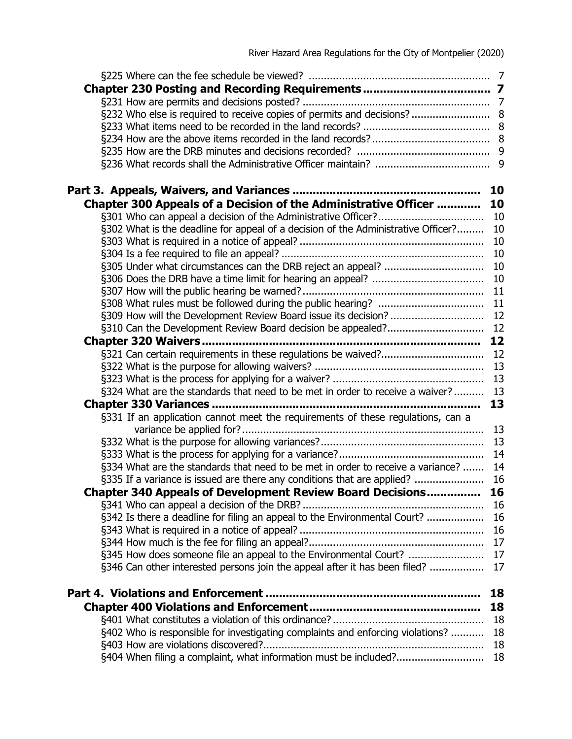| §232 Who else is required to receive copies of permits and decisions? 8             |    |
|-------------------------------------------------------------------------------------|----|
|                                                                                     |    |
|                                                                                     |    |
|                                                                                     |    |
|                                                                                     |    |
|                                                                                     |    |
|                                                                                     | 10 |
| Chapter 300 Appeals of a Decision of the Administrative Officer                     | 10 |
|                                                                                     | 10 |
| §302 What is the deadline for appeal of a decision of the Administrative Officer?   | 10 |
|                                                                                     | 10 |
|                                                                                     |    |
|                                                                                     |    |
|                                                                                     | 10 |
|                                                                                     | 10 |
|                                                                                     | 11 |
|                                                                                     | 11 |
|                                                                                     | 12 |
| §310 Can the Development Review Board decision be appealed?                         | 12 |
|                                                                                     | 12 |
|                                                                                     | 12 |
|                                                                                     | 13 |
|                                                                                     | 13 |
| §324 What are the standards that need to be met in order to receive a waiver?       | 13 |
|                                                                                     | 13 |
| §331 If an application cannot meet the requirements of these regulations, can a     |    |
|                                                                                     | 13 |
|                                                                                     | 13 |
|                                                                                     | 14 |
| §334 What are the standards that need to be met in order to receive a variance?  14 |    |
| §335 If a variance is issued are there any conditions that are applied?             | 16 |
| Chapter 340 Appeals of Development Review Board Decisions                           | 16 |
|                                                                                     | 16 |
| §342 Is there a deadline for filing an appeal to the Environmental Court?           | 16 |
|                                                                                     | 16 |
|                                                                                     | 17 |
| §345 How does someone file an appeal to the Environmental Court?                    | 17 |
| §346 Can other interested persons join the appeal after it has been filed?          | 17 |
|                                                                                     |    |
|                                                                                     | 18 |
|                                                                                     | 18 |
|                                                                                     | 18 |
| §402 Who is responsible for investigating complaints and enforcing violations?      | 18 |
|                                                                                     | 18 |
| §404 When filing a complaint, what information must be included?                    | 18 |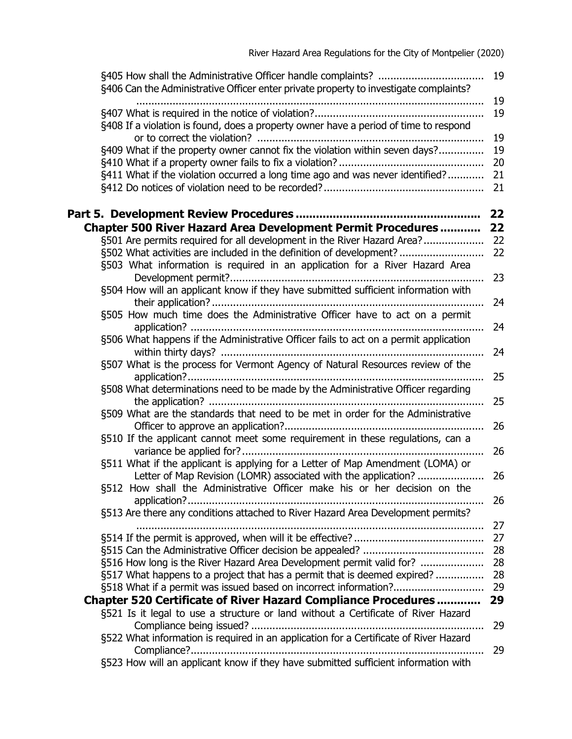| §406 Can the Administrative Officer enter private property to investigate complaints? | 19 |
|---------------------------------------------------------------------------------------|----|
|                                                                                       | 19 |
|                                                                                       | 19 |
| §408 If a violation is found, does a property owner have a period of time to respond  |    |
|                                                                                       | 19 |
| §409 What if the property owner cannot fix the violation within seven days?           | 19 |
|                                                                                       | 20 |
| §411 What if the violation occurred a long time ago and was never identified?         | 21 |
|                                                                                       | 21 |
|                                                                                       | 22 |
| <b>Chapter 500 River Hazard Area Development Permit Procedures </b>                   | 22 |
| §501 Are permits required for all development in the River Hazard Area?               | 22 |
| §502 What activities are included in the definition of development?                   | 22 |
| §503 What information is required in an application for a River Hazard Area           |    |
|                                                                                       | 23 |
| §504 How will an applicant know if they have submitted sufficient information with    |    |
|                                                                                       | 24 |
| §505 How much time does the Administrative Officer have to act on a permit            |    |
|                                                                                       | 24 |
| §506 What happens if the Administrative Officer fails to act on a permit application  |    |
|                                                                                       | 24 |
| §507 What is the process for Vermont Agency of Natural Resources review of the        |    |
|                                                                                       | 25 |
| §508 What determinations need to be made by the Administrative Officer regarding      |    |
|                                                                                       | 25 |
| §509 What are the standards that need to be met in order for the Administrative       |    |
|                                                                                       | 26 |
| §510 If the applicant cannot meet some requirement in these regulations, can a        |    |
|                                                                                       | 26 |
| §511 What if the applicant is applying for a Letter of Map Amendment (LOMA) or        |    |
| Letter of Map Revision (LOMR) associated with the application?                        | 26 |
| §512 How shall the Administrative Officer make his or her decision on the             |    |
|                                                                                       | 26 |
| §513 Are there any conditions attached to River Hazard Area Development permits?      |    |
|                                                                                       | 27 |
|                                                                                       | 27 |
|                                                                                       | 28 |
| §516 How long is the River Hazard Area Development permit valid for?                  | 28 |
| §517 What happens to a project that has a permit that is deemed expired?              | 28 |
| §518 What if a permit was issued based on incorrect information?                      | 29 |
|                                                                                       | 29 |
| <b>Chapter 520 Certificate of River Hazard Compliance Procedures </b>                 |    |
| §521 Is it legal to use a structure or land without a Certificate of River Hazard     |    |
|                                                                                       | 29 |
| §522 What information is required in an application for a Certificate of River Hazard |    |
|                                                                                       | 29 |
| §523 How will an applicant know if they have submitted sufficient information with    |    |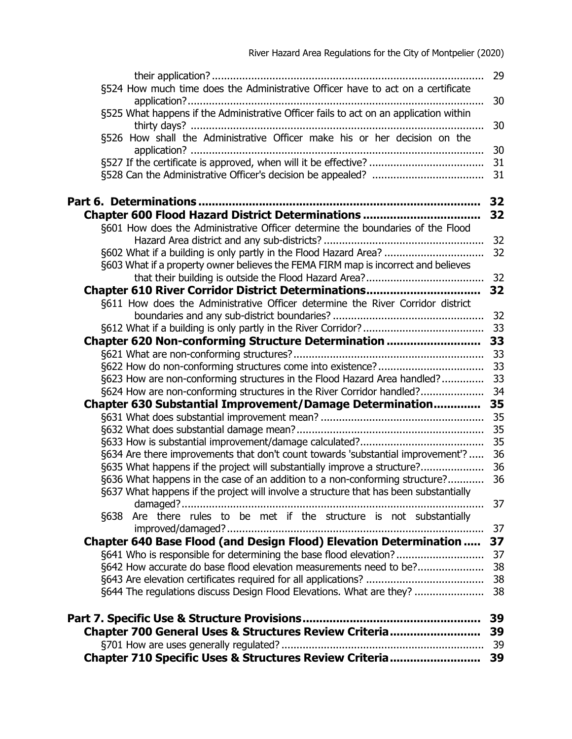|                                                                                                   | 29       |
|---------------------------------------------------------------------------------------------------|----------|
| §524 How much time does the Administrative Officer have to act on a certificate                   | 30       |
| §525 What happens if the Administrative Officer fails to act on an application within             |          |
| §526 How shall the Administrative Officer make his or her decision on the                         | 30       |
|                                                                                                   | 30       |
|                                                                                                   | 31       |
|                                                                                                   |          |
|                                                                                                   | 32       |
| §601 How does the Administrative Officer determine the boundaries of the Flood                    | 32       |
|                                                                                                   | 32       |
| §602 What if a building is only partly in the Flood Hazard Area?                                  | 32       |
| §603 What if a property owner believes the FEMA FIRM map is incorrect and believes                |          |
|                                                                                                   | 32       |
|                                                                                                   | 32       |
| §611 How does the Administrative Officer determine the River Corridor district                    |          |
|                                                                                                   | -32      |
|                                                                                                   | - 33     |
| Chapter 620 Non-conforming Structure Determination                                                | 33       |
|                                                                                                   | 33       |
| §623 How are non-conforming structures in the Flood Hazard Area handled?                          | 33<br>33 |
| §624 How are non-conforming structures in the River Corridor handled?                             | 34       |
| Chapter 630 Substantial Improvement/Damage Determination                                          | 35       |
|                                                                                                   |          |
|                                                                                                   |          |
|                                                                                                   | 35       |
| §634 Are there improvements that don't count towards 'substantial improvement'?                   | 36       |
| §635 What happens if the project will substantially improve a structure?                          | 36       |
| §636 What happens in the case of an addition to a non-conforming structure?                       | 36       |
| §637 What happens if the project will involve a structure that has been substantially<br>damaged? | 37       |
| §638 Are there rules to be met if the structure is not substantially                              |          |
|                                                                                                   | 37       |
| <b>Chapter 640 Base Flood (and Design Flood) Elevation Determination </b>                         | 37       |
| §641 Who is responsible for determining the base flood elevation?                                 | 37       |
| §642 How accurate do base flood elevation measurements need to be?                                | 38       |
|                                                                                                   | 38       |
| §644 The regulations discuss Design Flood Elevations. What are they?                              | 38       |
|                                                                                                   |          |
| Chapter 700 General Uses & Structures Review Criteria                                             | 39<br>39 |
|                                                                                                   |          |
| Chapter 710 Specific Uses & Structures Review Criteria                                            | 39       |
|                                                                                                   |          |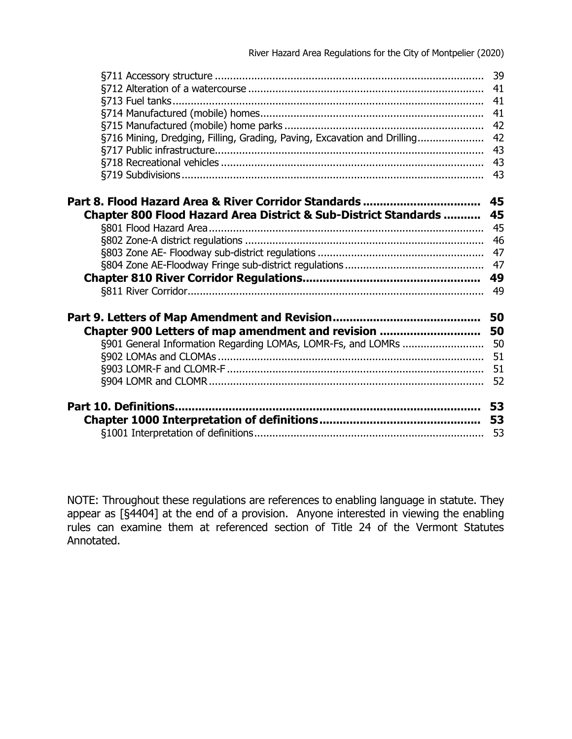| §716 Mining, Dredging, Filling, Grading, Paving, Excavation and Drilling | 41<br>41<br>41<br>42<br>42<br>43<br>43 |
|--------------------------------------------------------------------------|----------------------------------------|
|                                                                          | 43                                     |
|                                                                          | 45                                     |
| Chapter 800 Flood Hazard Area District & Sub-District Standards          | 45<br>45                               |
|                                                                          | 46                                     |
|                                                                          | 47                                     |
|                                                                          | 47                                     |
|                                                                          | 49                                     |
|                                                                          | 49                                     |
|                                                                          | 50                                     |
| Chapter 900 Letters of map amendment and revision                        | 50                                     |
| §901 General Information Regarding LOMAs, LOMR-Fs, and LOMRs  50         |                                        |
|                                                                          | 51                                     |
|                                                                          | 51                                     |
|                                                                          | 52                                     |
|                                                                          | 53<br>53                               |
|                                                                          |                                        |

NOTE: Throughout these regulations are references to enabling language in statute. They appear as [§4404] at the end of a provision. Anyone interested in viewing the enabling rules can examine them at referenced section of Title 24 of the Vermont Statutes Annotated.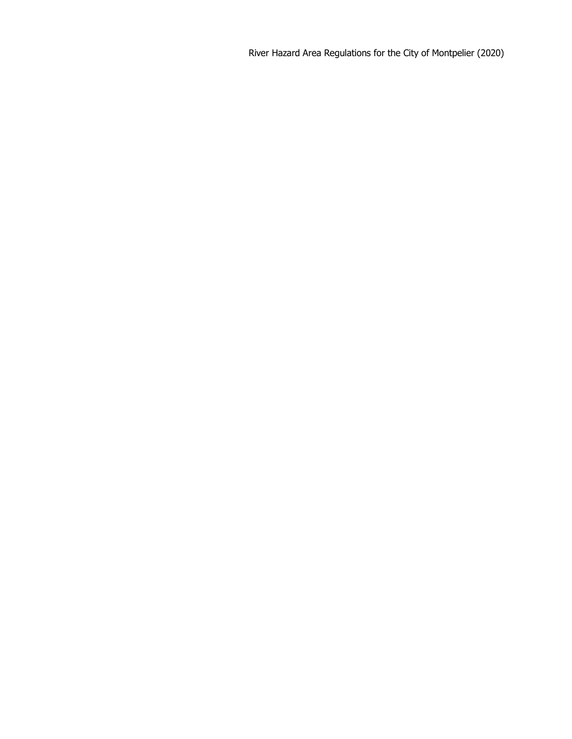River Hazard Area Regulations for the City of Montpelier (2020)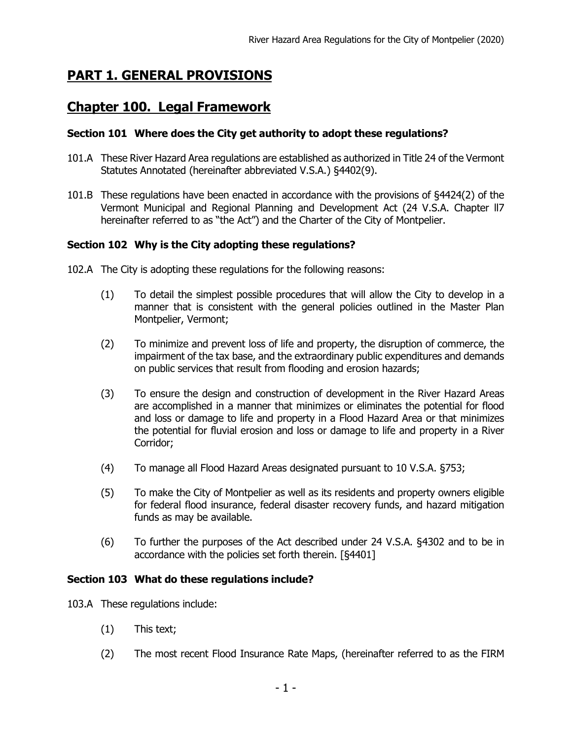### PART 1. GENERAL PROVISIONS

### Chapter 100. Legal Framework

#### Section 101 Where does the City get authority to adopt these regulations?

- 101.A These River Hazard Area regulations are established as authorized in Title 24 of the Vermont Statutes Annotated (hereinafter abbreviated V.S.A.) §4402(9).
- 101.B These regulations have been enacted in accordance with the provisions of §4424(2) of the Vermont Municipal and Regional Planning and Development Act (24 V.S.A. Chapter ll7 hereinafter referred to as "the Act") and the Charter of the City of Montpelier.

#### Section 102 Why is the City adopting these regulations?

- 102.A The City is adopting these regulations for the following reasons:
	- (1) To detail the simplest possible procedures that will allow the City to develop in a manner that is consistent with the general policies outlined in the Master Plan Montpelier, Vermont;
	- (2) To minimize and prevent loss of life and property, the disruption of commerce, the impairment of the tax base, and the extraordinary public expenditures and demands on public services that result from flooding and erosion hazards;
	- (3) To ensure the design and construction of development in the River Hazard Areas are accomplished in a manner that minimizes or eliminates the potential for flood and loss or damage to life and property in a Flood Hazard Area or that minimizes the potential for fluvial erosion and loss or damage to life and property in a River Corridor;
	- (4) To manage all Flood Hazard Areas designated pursuant to 10 V.S.A. §753;
	- (5) To make the City of Montpelier as well as its residents and property owners eligible for federal flood insurance, federal disaster recovery funds, and hazard mitigation funds as may be available.
	- (6) To further the purposes of the Act described under 24 V.S.A. §4302 and to be in accordance with the policies set forth therein. [§4401]

#### Section 103 What do these regulations include?

103.A These regulations include:

- (1) This text;
- (2) The most recent Flood Insurance Rate Maps, (hereinafter referred to as the FIRM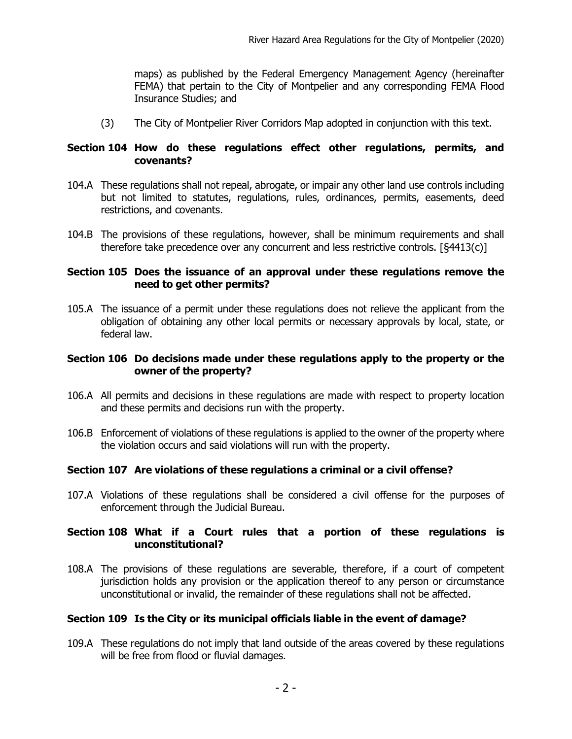maps) as published by the Federal Emergency Management Agency (hereinafter FEMA) that pertain to the City of Montpelier and any corresponding FEMA Flood Insurance Studies; and

(3) The City of Montpelier River Corridors Map adopted in conjunction with this text.

#### Section 104 How do these regulations effect other regulations, permits, and covenants?

- 104.A These regulations shall not repeal, abrogate, or impair any other land use controls including but not limited to statutes, regulations, rules, ordinances, permits, easements, deed restrictions, and covenants.
- 104.B The provisions of these regulations, however, shall be minimum requirements and shall therefore take precedence over any concurrent and less restrictive controls. [§4413(c)]

#### Section 105 Does the issuance of an approval under these regulations remove the need to get other permits?

105.A The issuance of a permit under these regulations does not relieve the applicant from the obligation of obtaining any other local permits or necessary approvals by local, state, or federal law.

#### Section 106 Do decisions made under these regulations apply to the property or the owner of the property?

- 106.A All permits and decisions in these regulations are made with respect to property location and these permits and decisions run with the property.
- 106.B Enforcement of violations of these regulations is applied to the owner of the property where the violation occurs and said violations will run with the property.

#### Section 107 Are violations of these regulations a criminal or a civil offense?

107.A Violations of these regulations shall be considered a civil offense for the purposes of enforcement through the Judicial Bureau.

#### Section 108 What if a Court rules that a portion of these regulations is unconstitutional?

108.A The provisions of these regulations are severable, therefore, if a court of competent jurisdiction holds any provision or the application thereof to any person or circumstance unconstitutional or invalid, the remainder of these regulations shall not be affected.

#### Section 109 Is the City or its municipal officials liable in the event of damage?

109.A These regulations do not imply that land outside of the areas covered by these regulations will be free from flood or fluvial damages.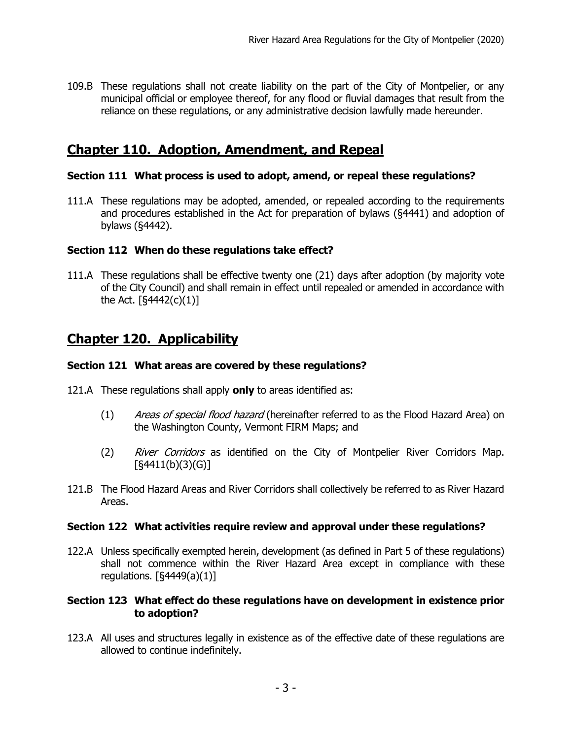109.B These regulations shall not create liability on the part of the City of Montpelier, or any municipal official or employee thereof, for any flood or fluvial damages that result from the reliance on these regulations, or any administrative decision lawfully made hereunder.

### Chapter 110. Adoption, Amendment, and Repeal

#### Section 111 What process is used to adopt, amend, or repeal these regulations?

111.A These regulations may be adopted, amended, or repealed according to the requirements and procedures established in the Act for preparation of bylaws (§4441) and adoption of bylaws (§4442).

#### Section 112 When do these regulations take effect?

111.A These regulations shall be effective twenty one (21) days after adoption (by majority vote of the City Council) and shall remain in effect until repealed or amended in accordance with the Act.  $[64442(c)(1)]$ 

### Chapter 120. Applicability

#### Section 121 What areas are covered by these regulations?

- 121.A These regulations shall apply **only** to areas identified as:
	- (1) Areas of special flood hazard (hereinafter referred to as the Flood Hazard Area) on the Washington County, Vermont FIRM Maps; and
	- (2) River Corridors as identified on the City of Montpelier River Corridors Map. [§4411(b)(3)(G)]
- 121.B The Flood Hazard Areas and River Corridors shall collectively be referred to as River Hazard Areas.

#### Section 122 What activities require review and approval under these regulations?

122.A Unless specifically exempted herein, development (as defined in Part 5 of these regulations) shall not commence within the River Hazard Area except in compliance with these regulations. [§4449(a)(1)]

#### Section 123 What effect do these regulations have on development in existence prior to adoption?

123.A All uses and structures legally in existence as of the effective date of these regulations are allowed to continue indefinitely.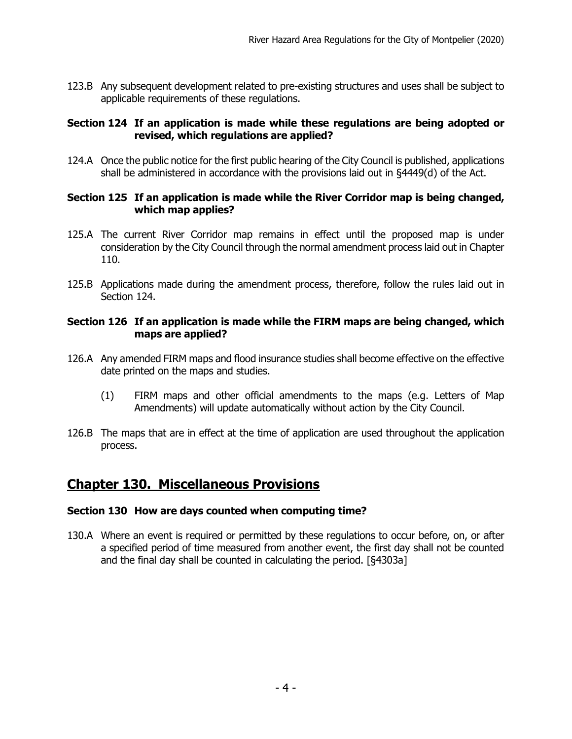123.B Any subsequent development related to pre-existing structures and uses shall be subject to applicable requirements of these regulations.

#### Section 124 If an application is made while these regulations are being adopted or revised, which regulations are applied?

124.A Once the public notice for the first public hearing of the City Council is published, applications shall be administered in accordance with the provisions laid out in §4449(d) of the Act.

#### Section 125 If an application is made while the River Corridor map is being changed, which map applies?

- 125.A The current River Corridor map remains in effect until the proposed map is under consideration by the City Council through the normal amendment process laid out in Chapter 110.
- 125.B Applications made during the amendment process, therefore, follow the rules laid out in Section 124.

#### Section 126 If an application is made while the FIRM maps are being changed, which maps are applied?

- 126.A Any amended FIRM maps and flood insurance studies shall become effective on the effective date printed on the maps and studies.
	- (1) FIRM maps and other official amendments to the maps (e.g. Letters of Map Amendments) will update automatically without action by the City Council.
- 126.B The maps that are in effect at the time of application are used throughout the application process.

### Chapter 130. Miscellaneous Provisions

#### Section 130 How are days counted when computing time?

130.A Where an event is required or permitted by these regulations to occur before, on, or after a specified period of time measured from another event, the first day shall not be counted and the final day shall be counted in calculating the period. [§4303a]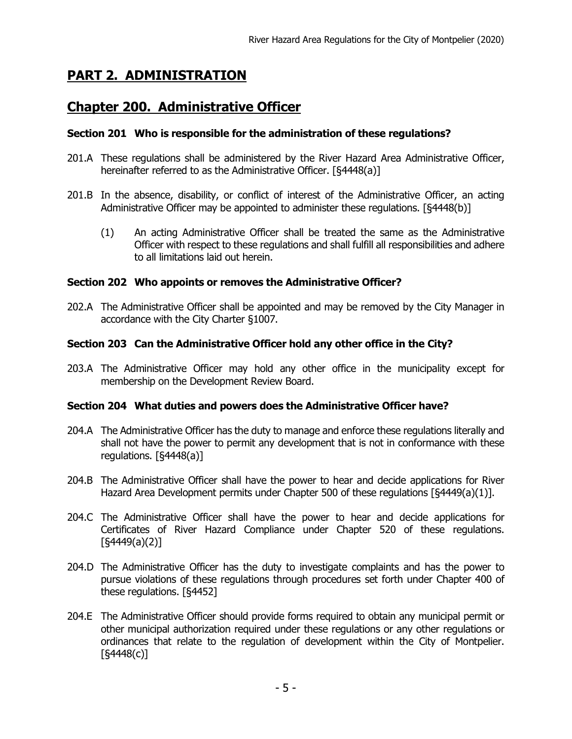### PART 2. ADMINISTRATION

### Chapter 200. Administrative Officer

#### Section 201 Who is responsible for the administration of these regulations?

- 201.A These regulations shall be administered by the River Hazard Area Administrative Officer, hereinafter referred to as the Administrative Officer. [§4448(a)]
- 201.B In the absence, disability, or conflict of interest of the Administrative Officer, an acting Administrative Officer may be appointed to administer these regulations. [§4448(b)]
	- (1) An acting Administrative Officer shall be treated the same as the Administrative Officer with respect to these regulations and shall fulfill all responsibilities and adhere to all limitations laid out herein.

#### Section 202 Who appoints or removes the Administrative Officer?

202.A The Administrative Officer shall be appointed and may be removed by the City Manager in accordance with the City Charter §1007.

#### Section 203 Can the Administrative Officer hold any other office in the City?

203.A The Administrative Officer may hold any other office in the municipality except for membership on the Development Review Board.

#### Section 204 What duties and powers does the Administrative Officer have?

- 204.A The Administrative Officer has the duty to manage and enforce these regulations literally and shall not have the power to permit any development that is not in conformance with these regulations. [§4448(a)]
- 204.B The Administrative Officer shall have the power to hear and decide applications for River Hazard Area Development permits under Chapter 500 of these regulations [§4449(a)(1)].
- 204.C The Administrative Officer shall have the power to hear and decide applications for Certificates of River Hazard Compliance under Chapter 520 of these regulations.  $[§4449(a)(2)]$
- 204.D The Administrative Officer has the duty to investigate complaints and has the power to pursue violations of these regulations through procedures set forth under Chapter 400 of these regulations. [§4452]
- 204.E The Administrative Officer should provide forms required to obtain any municipal permit or other municipal authorization required under these regulations or any other regulations or ordinances that relate to the regulation of development within the City of Montpelier. [§4448(c)]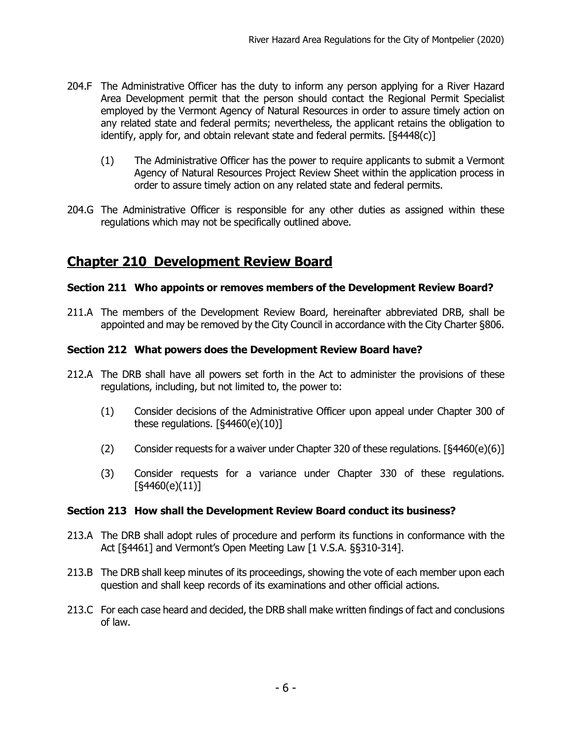- 204.F The Administrative Officer has the duty to inform any person applying for a River Hazard Area Development permit that the person should contact the Regional Permit Specialist employed by the Vermont Agency of Natural Resources in order to assure timely action on any related state and federal permits; nevertheless, the applicant retains the obligation to identify, apply for, and obtain relevant state and federal permits. [§4448(c)]
	- (1) The Administrative Officer has the power to require applicants to submit a Vermont Agency of Natural Resources Project Review Sheet within the application process in order to assure timely action on any related state and federal permits.
- 204.G The Administrative Officer is responsible for any other duties as assigned within these regulations which may not be specifically outlined above.

### Chapter 210 Development Review Board

#### Section 211 Who appoints or removes members of the Development Review Board?

211.A The members of the Development Review Board, hereinafter abbreviated DRB, shall be appointed and may be removed by the City Council in accordance with the City Charter §806.

#### Section 212 What powers does the Development Review Board have?

- 212.A The DRB shall have all powers set forth in the Act to administer the provisions of these regulations, including, but not limited to, the power to:
	- (1) Consider decisions of the Administrative Officer upon appeal under Chapter 300 of these regulations. [§4460(e)(10)]
	- (2) Consider requests for a waiver under Chapter 320 of these regulations. [§4460(e)(6)]
	- (3) Consider requests for a variance under Chapter 330 of these regulations. [§4460(e)(11)]

#### Section 213 How shall the Development Review Board conduct its business?

- 213.A The DRB shall adopt rules of procedure and perform its functions in conformance with the Act [§4461] and Vermont's Open Meeting Law [1 V.S.A. §§310-314].
- 213.B The DRB shall keep minutes of its proceedings, showing the vote of each member upon each question and shall keep records of its examinations and other official actions.
- 213.C For each case heard and decided, the DRB shall make written findings of fact and conclusions of law.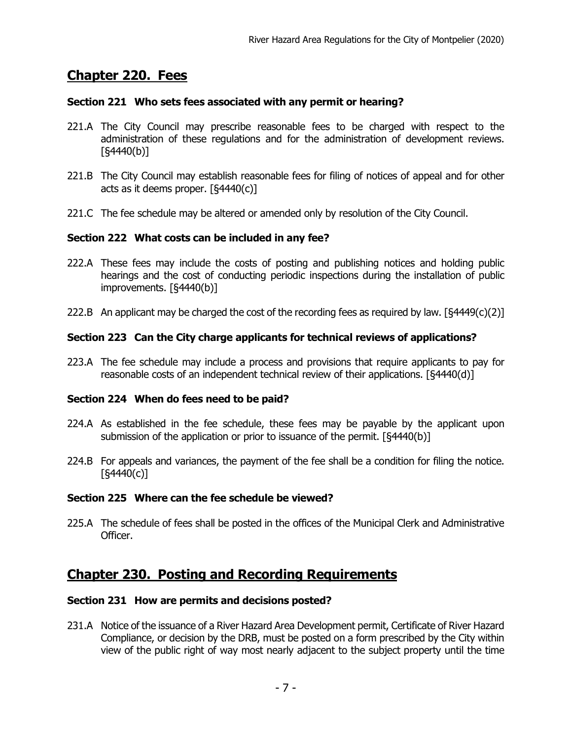### Chapter 220. Fees

#### Section 221 Who sets fees associated with any permit or hearing?

- 221.A The City Council may prescribe reasonable fees to be charged with respect to the administration of these regulations and for the administration of development reviews. [§4440(b)]
- 221.B The City Council may establish reasonable fees for filing of notices of appeal and for other acts as it deems proper.  $[§4440(c)]$
- 221.C The fee schedule may be altered or amended only by resolution of the City Council.

#### Section 222 What costs can be included in any fee?

- 222.A These fees may include the costs of posting and publishing notices and holding public hearings and the cost of conducting periodic inspections during the installation of public improvements. [§4440(b)]
- 222.B An applicant may be charged the cost of the recording fees as required by law.  $[§4449(c)(2)]$

#### Section 223 Can the City charge applicants for technical reviews of applications?

223.A The fee schedule may include a process and provisions that require applicants to pay for reasonable costs of an independent technical review of their applications. [§4440(d)]

#### Section 224 When do fees need to be paid?

- 224.A As established in the fee schedule, these fees may be payable by the applicant upon submission of the application or prior to issuance of the permit. [§4440(b)]
- 224.B For appeals and variances, the payment of the fee shall be a condition for filing the notice. [§4440(c)]

#### Section 225 Where can the fee schedule be viewed?

225.A The schedule of fees shall be posted in the offices of the Municipal Clerk and Administrative Officer.

### Chapter 230. Posting and Recording Requirements

#### Section 231 How are permits and decisions posted?

231.A Notice of the issuance of a River Hazard Area Development permit, Certificate of River Hazard Compliance, or decision by the DRB, must be posted on a form prescribed by the City within view of the public right of way most nearly adjacent to the subject property until the time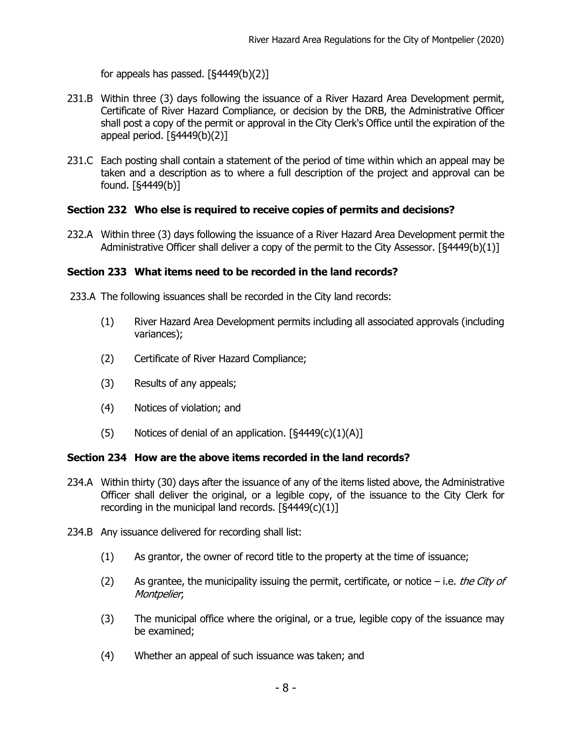for appeals has passed.  $[§4449(b)(2)]$ 

- 231.B Within three (3) days following the issuance of a River Hazard Area Development permit, Certificate of River Hazard Compliance, or decision by the DRB, the Administrative Officer shall post a copy of the permit or approval in the City Clerk's Office until the expiration of the appeal period. [§4449(b)(2)]
- 231.C Each posting shall contain a statement of the period of time within which an appeal may be taken and a description as to where a full description of the project and approval can be found. [§4449(b)]

#### Section 232 Who else is required to receive copies of permits and decisions?

232.A Within three (3) days following the issuance of a River Hazard Area Development permit the Administrative Officer shall deliver a copy of the permit to the City Assessor. [§4449(b)(1)]

#### Section 233 What items need to be recorded in the land records?

233.A The following issuances shall be recorded in the City land records:

- (1) River Hazard Area Development permits including all associated approvals (including variances);
- (2) Certificate of River Hazard Compliance;
- (3) Results of any appeals;
- (4) Notices of violation; and
- (5) Notices of denial of an application.  $[§4449(c)(1)(A)]$

#### Section 234 How are the above items recorded in the land records?

- 234.A Within thirty (30) days after the issuance of any of the items listed above, the Administrative Officer shall deliver the original, or a legible copy, of the issuance to the City Clerk for recording in the municipal land records.  $[64449(c)(1)]$
- 234.B Any issuance delivered for recording shall list:
	- (1) As grantor, the owner of record title to the property at the time of issuance;
	- (2) As grantee, the municipality issuing the permit, certificate, or notice  $-$  i.e. the City of Montpelier;
	- (3) The municipal office where the original, or a true, legible copy of the issuance may be examined;
	- (4) Whether an appeal of such issuance was taken; and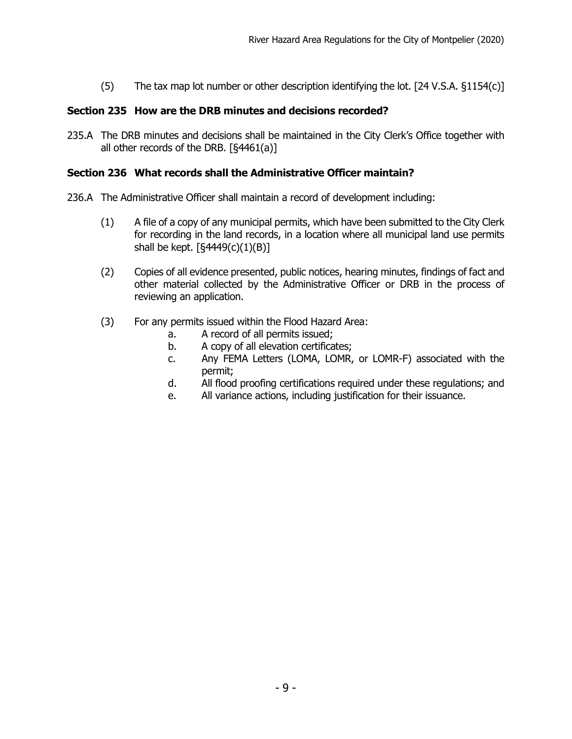(5) The tax map lot number or other description identifying the lot. [24 V.S.A. §1154(c)]

#### Section 235 How are the DRB minutes and decisions recorded?

235.A The DRB minutes and decisions shall be maintained in the City Clerk's Office together with all other records of the DRB. [§4461(a)]

#### Section 236 What records shall the Administrative Officer maintain?

- 236.A The Administrative Officer shall maintain a record of development including:
	- (1) A file of a copy of any municipal permits, which have been submitted to the City Clerk for recording in the land records, in a location where all municipal land use permits shall be kept. [§4449(c)(1)(B)]
	- (2) Copies of all evidence presented, public notices, hearing minutes, findings of fact and other material collected by the Administrative Officer or DRB in the process of reviewing an application.
	- (3) For any permits issued within the Flood Hazard Area:
		- a. A record of all permits issued;
		- b. A copy of all elevation certificates;
		- c. Any FEMA Letters (LOMA, LOMR, or LOMR-F) associated with the permit;
		- d. All flood proofing certifications required under these regulations; and
		- e. All variance actions, including justification for their issuance.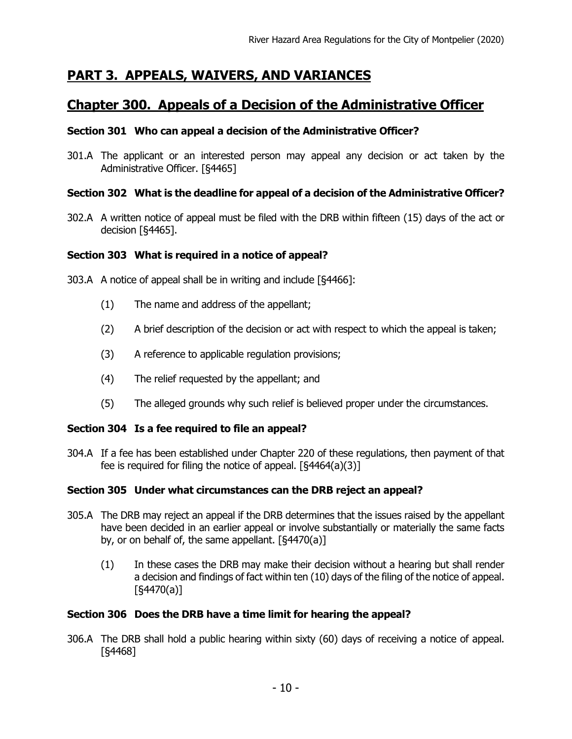## PART 3. APPEALS, WAIVERS, AND VARIANCES

### Chapter 300. Appeals of a Decision of the Administrative Officer

#### Section 301 Who can appeal a decision of the Administrative Officer?

301.A The applicant or an interested person may appeal any decision or act taken by the Administrative Officer. [§4465]

#### Section 302 What is the deadline for appeal of a decision of the Administrative Officer?

302.A A written notice of appeal must be filed with the DRB within fifteen (15) days of the act or decision [§4465].

#### Section 303 What is required in a notice of appeal?

303.A A notice of appeal shall be in writing and include [§4466]:

- (1) The name and address of the appellant;
- (2) A brief description of the decision or act with respect to which the appeal is taken;
- (3) A reference to applicable regulation provisions;
- (4) The relief requested by the appellant; and
- (5) The alleged grounds why such relief is believed proper under the circumstances.

#### Section 304 Is a fee required to file an appeal?

304.A If a fee has been established under Chapter 220 of these regulations, then payment of that fee is required for filing the notice of appeal. [§4464(a)(3)]

#### Section 305 Under what circumstances can the DRB reject an appeal?

- 305.A The DRB may reject an appeal if the DRB determines that the issues raised by the appellant have been decided in an earlier appeal or involve substantially or materially the same facts by, or on behalf of, the same appellant. [§4470(a)]
	- (1) In these cases the DRB may make their decision without a hearing but shall render a decision and findings of fact within ten (10) days of the filing of the notice of appeal. [§4470(a)]

#### Section 306 Does the DRB have a time limit for hearing the appeal?

306.A The DRB shall hold a public hearing within sixty (60) days of receiving a notice of appeal. [§4468]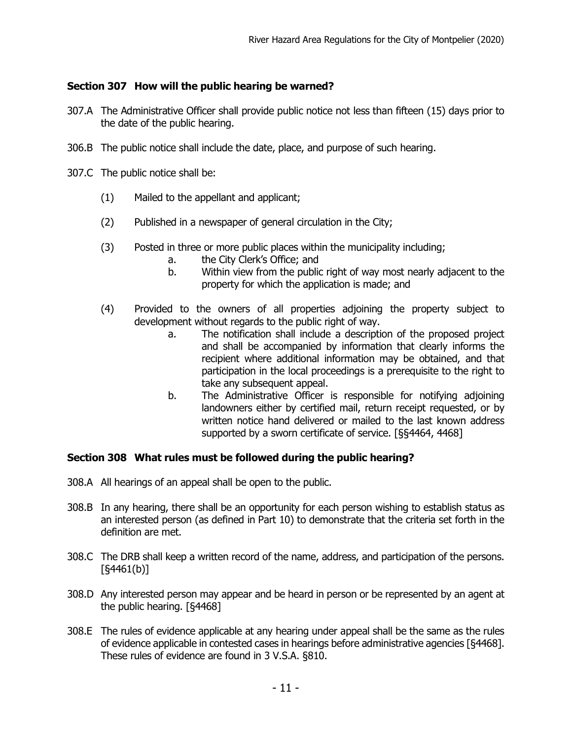#### Section 307 How will the public hearing be warned?

- 307.A The Administrative Officer shall provide public notice not less than fifteen (15) days prior to the date of the public hearing.
- 306.B The public notice shall include the date, place, and purpose of such hearing.
- 307.C The public notice shall be:
	- (1) Mailed to the appellant and applicant;
	- (2) Published in a newspaper of general circulation in the City;
	- (3) Posted in three or more public places within the municipality including;
		- a. the City Clerk's Office; and
		- b. Within view from the public right of way most nearly adjacent to the property for which the application is made; and
	- (4) Provided to the owners of all properties adjoining the property subject to development without regards to the public right of way.
		- a. The notification shall include a description of the proposed project and shall be accompanied by information that clearly informs the recipient where additional information may be obtained, and that participation in the local proceedings is a prerequisite to the right to take any subsequent appeal.
		- b. The Administrative Officer is responsible for notifying adjoining landowners either by certified mail, return receipt requested, or by written notice hand delivered or mailed to the last known address supported by a sworn certificate of service. [§§4464, 4468]

#### Section 308 What rules must be followed during the public hearing?

- 308.A All hearings of an appeal shall be open to the public.
- 308.B In any hearing, there shall be an opportunity for each person wishing to establish status as an interested person (as defined in Part 10) to demonstrate that the criteria set forth in the definition are met.
- 308.C The DRB shall keep a written record of the name, address, and participation of the persons. [§4461(b)]
- 308.D Any interested person may appear and be heard in person or be represented by an agent at the public hearing. [§4468]
- 308.E The rules of evidence applicable at any hearing under appeal shall be the same as the rules of evidence applicable in contested cases in hearings before administrative agencies [§4468]. These rules of evidence are found in 3 V.S.A. §810.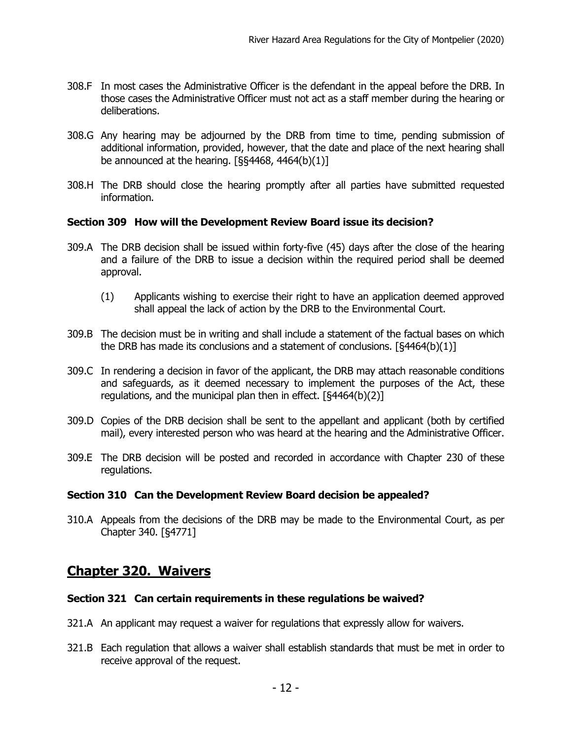- 308.F In most cases the Administrative Officer is the defendant in the appeal before the DRB. In those cases the Administrative Officer must not act as a staff member during the hearing or deliberations.
- 308.G Any hearing may be adjourned by the DRB from time to time, pending submission of additional information, provided, however, that the date and place of the next hearing shall be announced at the hearing.  $[§§4468, 4464(b)(1)]$
- 308.H The DRB should close the hearing promptly after all parties have submitted requested information.

#### Section 309 How will the Development Review Board issue its decision?

- 309.A The DRB decision shall be issued within forty-five (45) days after the close of the hearing and a failure of the DRB to issue a decision within the required period shall be deemed approval.
	- (1) Applicants wishing to exercise their right to have an application deemed approved shall appeal the lack of action by the DRB to the Environmental Court.
- 309.B The decision must be in writing and shall include a statement of the factual bases on which the DRB has made its conclusions and a statement of conclusions.  $[64464(b)(1)]$
- 309.C In rendering a decision in favor of the applicant, the DRB may attach reasonable conditions and safeguards, as it deemed necessary to implement the purposes of the Act, these regulations, and the municipal plan then in effect. [§4464(b)(2)]
- 309.D Copies of the DRB decision shall be sent to the appellant and applicant (both by certified mail), every interested person who was heard at the hearing and the Administrative Officer.
- 309.E The DRB decision will be posted and recorded in accordance with Chapter 230 of these regulations.

#### Section 310 Can the Development Review Board decision be appealed?

310.A Appeals from the decisions of the DRB may be made to the Environmental Court, as per Chapter 340. [§4771]

### Chapter 320. Waivers

#### Section 321 Can certain requirements in these regulations be waived?

- 321.A An applicant may request a waiver for regulations that expressly allow for waivers.
- 321.B Each regulation that allows a waiver shall establish standards that must be met in order to receive approval of the request.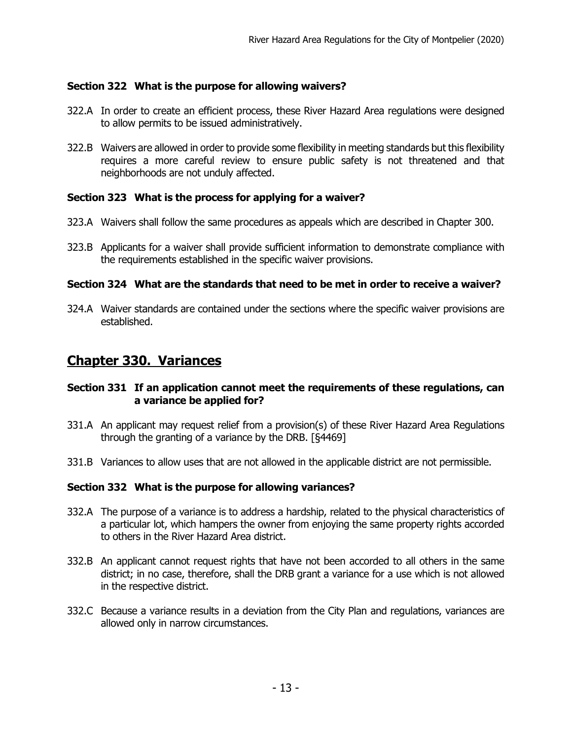#### Section 322 What is the purpose for allowing waivers?

- 322.A In order to create an efficient process, these River Hazard Area regulations were designed to allow permits to be issued administratively.
- 322.B Waivers are allowed in order to provide some flexibility in meeting standards but this flexibility requires a more careful review to ensure public safety is not threatened and that neighborhoods are not unduly affected.

#### Section 323 What is the process for applying for a waiver?

- 323.A Waivers shall follow the same procedures as appeals which are described in Chapter 300.
- 323.B Applicants for a waiver shall provide sufficient information to demonstrate compliance with the requirements established in the specific waiver provisions.

#### Section 324 What are the standards that need to be met in order to receive a waiver?

324.A Waiver standards are contained under the sections where the specific waiver provisions are established.

### Chapter 330. Variances

#### Section 331 If an application cannot meet the requirements of these regulations, can a variance be applied for?

- 331.A An applicant may request relief from a provision(s) of these River Hazard Area Regulations through the granting of a variance by the DRB. [§4469]
- 331.B Variances to allow uses that are not allowed in the applicable district are not permissible.

#### Section 332 What is the purpose for allowing variances?

- 332.A The purpose of a variance is to address a hardship, related to the physical characteristics of a particular lot, which hampers the owner from enjoying the same property rights accorded to others in the River Hazard Area district.
- 332.B An applicant cannot request rights that have not been accorded to all others in the same district; in no case, therefore, shall the DRB grant a variance for a use which is not allowed in the respective district.
- 332.C Because a variance results in a deviation from the City Plan and regulations, variances are allowed only in narrow circumstances.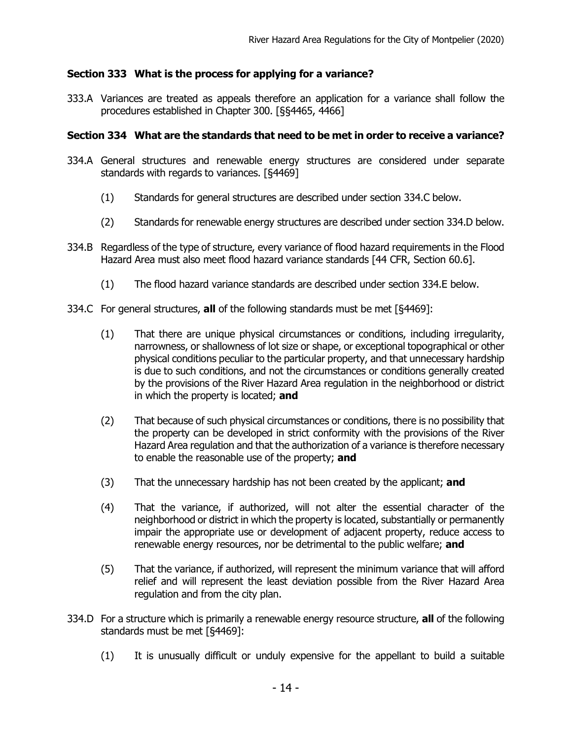#### Section 333 What is the process for applying for a variance?

333.A Variances are treated as appeals therefore an application for a variance shall follow the procedures established in Chapter 300. [§§4465, 4466]

#### Section 334 What are the standards that need to be met in order to receive a variance?

- 334.A General structures and renewable energy structures are considered under separate standards with regards to variances. [§4469]
	- (1) Standards for general structures are described under section 334.C below.
	- (2) Standards for renewable energy structures are described under section 334.D below.
- 334.B Regardless of the type of structure, every variance of flood hazard requirements in the Flood Hazard Area must also meet flood hazard variance standards [44 CFR, Section 60.6].
	- (1) The flood hazard variance standards are described under section 334.E below.
- 334.C For general structures, all of the following standards must be met  $[84469]$ :
	- (1) That there are unique physical circumstances or conditions, including irregularity, narrowness, or shallowness of lot size or shape, or exceptional topographical or other physical conditions peculiar to the particular property, and that unnecessary hardship is due to such conditions, and not the circumstances or conditions generally created by the provisions of the River Hazard Area regulation in the neighborhood or district in which the property is located; and
	- (2) That because of such physical circumstances or conditions, there is no possibility that the property can be developed in strict conformity with the provisions of the River Hazard Area regulation and that the authorization of a variance is therefore necessary to enable the reasonable use of the property; and
	- $(3)$  That the unnecessary hardship has not been created by the applicant; and
	- (4) That the variance, if authorized, will not alter the essential character of the neighborhood or district in which the property is located, substantially or permanently impair the appropriate use or development of adjacent property, reduce access to renewable energy resources, nor be detrimental to the public welfare; and
	- (5) That the variance, if authorized, will represent the minimum variance that will afford relief and will represent the least deviation possible from the River Hazard Area regulation and from the city plan.
- 334.D For a structure which is primarily a renewable energy resource structure, all of the following standards must be met [§4469]:
	- (1) It is unusually difficult or unduly expensive for the appellant to build a suitable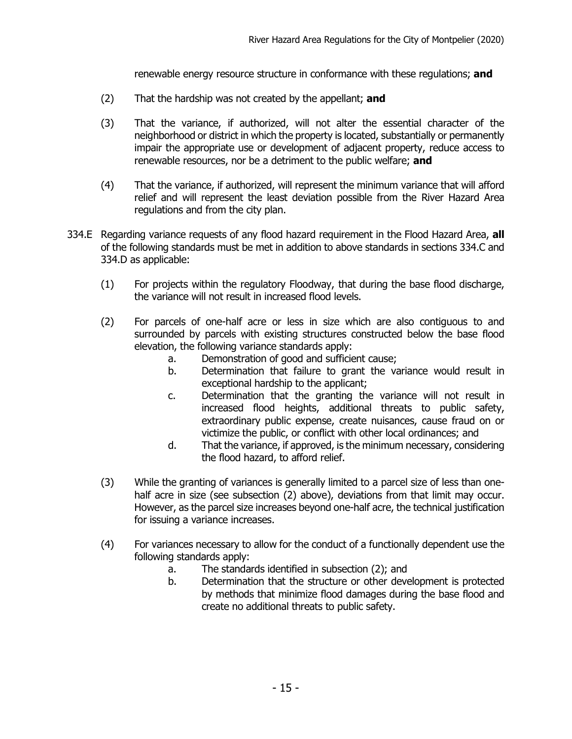renewable energy resource structure in conformance with these regulations; and

- $(2)$  That the hardship was not created by the appellant; and
- (3) That the variance, if authorized, will not alter the essential character of the neighborhood or district in which the property is located, substantially or permanently impair the appropriate use or development of adjacent property, reduce access to renewable resources, nor be a detriment to the public welfare; and
- (4) That the variance, if authorized, will represent the minimum variance that will afford relief and will represent the least deviation possible from the River Hazard Area regulations and from the city plan.
- 334.E Regarding variance requests of any flood hazard requirement in the Flood Hazard Area, all of the following standards must be met in addition to above standards in sections 334.C and 334.D as applicable:
	- (1) For projects within the regulatory Floodway, that during the base flood discharge, the variance will not result in increased flood levels.
	- (2) For parcels of one-half acre or less in size which are also contiguous to and surrounded by parcels with existing structures constructed below the base flood elevation, the following variance standards apply:
		- a. Demonstration of good and sufficient cause;
		- b. Determination that failure to grant the variance would result in exceptional hardship to the applicant;
		- c. Determination that the granting the variance will not result in increased flood heights, additional threats to public safety, extraordinary public expense, create nuisances, cause fraud on or victimize the public, or conflict with other local ordinances; and
		- d. That the variance, if approved, is the minimum necessary, considering the flood hazard, to afford relief.
	- (3) While the granting of variances is generally limited to a parcel size of less than onehalf acre in size (see subsection (2) above), deviations from that limit may occur. However, as the parcel size increases beyond one-half acre, the technical justification for issuing a variance increases.
	- (4) For variances necessary to allow for the conduct of a functionally dependent use the following standards apply:
		- a. The standards identified in subsection (2); and
		- b. Determination that the structure or other development is protected by methods that minimize flood damages during the base flood and create no additional threats to public safety.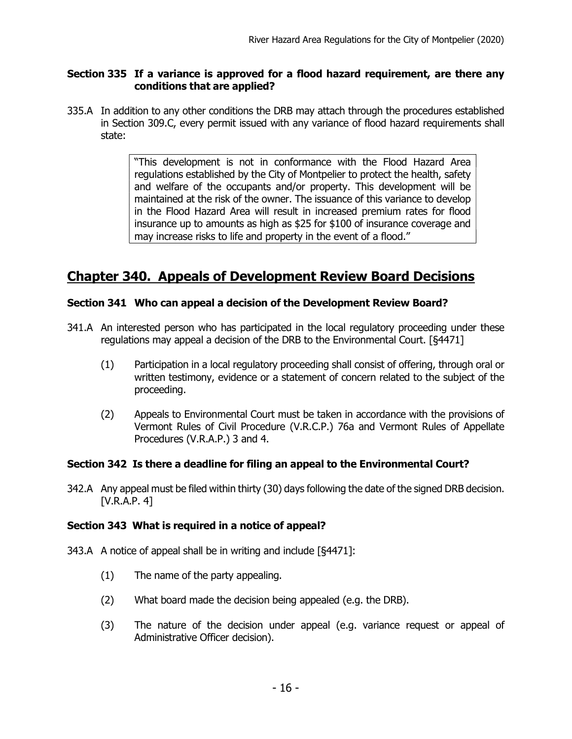#### Section 335 If a variance is approved for a flood hazard requirement, are there any conditions that are applied?

335.A In addition to any other conditions the DRB may attach through the procedures established in Section 309.C, every permit issued with any variance of flood hazard requirements shall state:

> "This development is not in conformance with the Flood Hazard Area regulations established by the City of Montpelier to protect the health, safety and welfare of the occupants and/or property. This development will be maintained at the risk of the owner. The issuance of this variance to develop in the Flood Hazard Area will result in increased premium rates for flood insurance up to amounts as high as \$25 for \$100 of insurance coverage and may increase risks to life and property in the event of a flood."

### Chapter 340. Appeals of Development Review Board Decisions

#### Section 341 Who can appeal a decision of the Development Review Board?

- 341.A An interested person who has participated in the local regulatory proceeding under these regulations may appeal a decision of the DRB to the Environmental Court. [§4471]
	- (1) Participation in a local regulatory proceeding shall consist of offering, through oral or written testimony, evidence or a statement of concern related to the subject of the proceeding.
	- (2) Appeals to Environmental Court must be taken in accordance with the provisions of Vermont Rules of Civil Procedure (V.R.C.P.) 76a and Vermont Rules of Appellate Procedures (V.R.A.P.) 3 and 4.

#### Section 342 Is there a deadline for filing an appeal to the Environmental Court?

342.A Any appeal must be filed within thirty (30) days following the date of the signed DRB decision. [V.R.A.P. 4]

#### Section 343 What is required in a notice of appeal?

- 343.A A notice of appeal shall be in writing and include [§4471]:
	- (1) The name of the party appealing.
	- (2) What board made the decision being appealed (e.g. the DRB).
	- (3) The nature of the decision under appeal (e.g. variance request or appeal of Administrative Officer decision).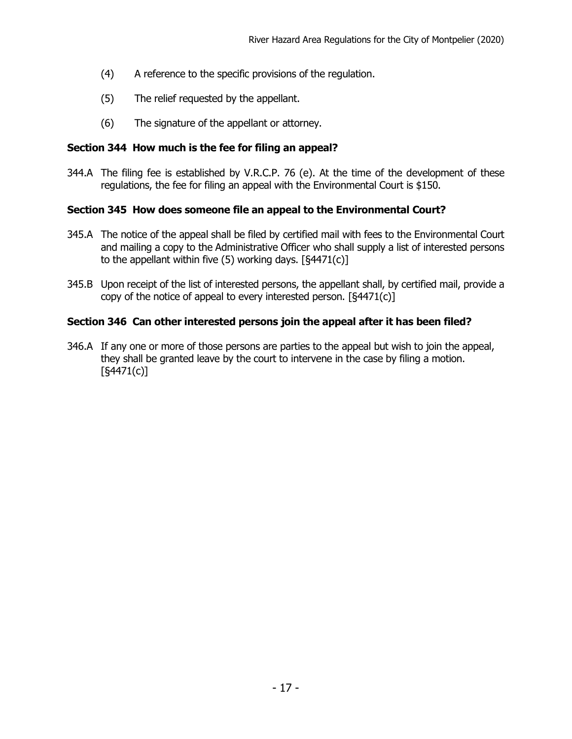- (4) A reference to the specific provisions of the regulation.
- (5) The relief requested by the appellant.
- (6) The signature of the appellant or attorney.

#### Section 344 How much is the fee for filing an appeal?

344.A The filing fee is established by V.R.C.P. 76 (e). At the time of the development of these regulations, the fee for filing an appeal with the Environmental Court is \$150.

#### Section 345 How does someone file an appeal to the Environmental Court?

- 345.A The notice of the appeal shall be filed by certified mail with fees to the Environmental Court and mailing a copy to the Administrative Officer who shall supply a list of interested persons to the appellant within five  $(5)$  working days.  $[§4471(c)]$
- 345.B Upon receipt of the list of interested persons, the appellant shall, by certified mail, provide a copy of the notice of appeal to every interested person. [§4471(c)]

#### Section 346 Can other interested persons join the appeal after it has been filed?

346.A If any one or more of those persons are parties to the appeal but wish to join the appeal, they shall be granted leave by the court to intervene in the case by filing a motion. [§4471(c)]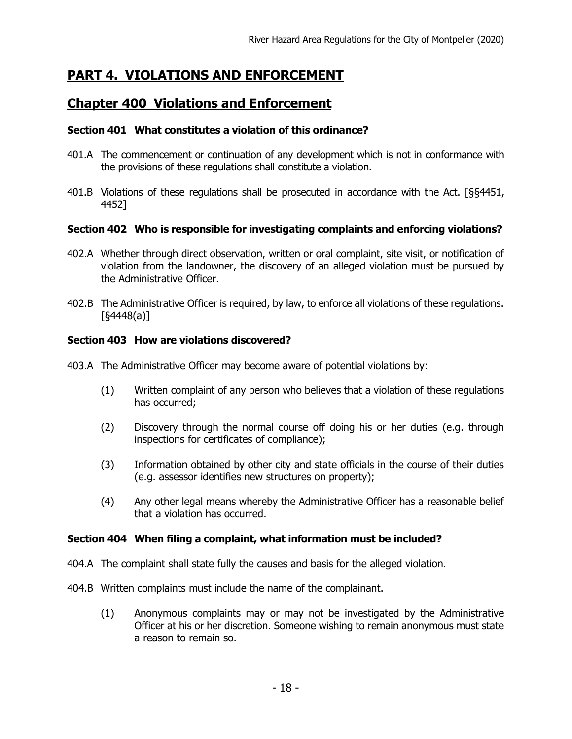### PART 4. VIOLATIONS AND ENFORCEMENT

### Chapter 400 Violations and Enforcement

#### Section 401 What constitutes a violation of this ordinance?

- 401.A The commencement or continuation of any development which is not in conformance with the provisions of these regulations shall constitute a violation.
- 401.B Violations of these regulations shall be prosecuted in accordance with the Act. [§§4451, 4452]

#### Section 402 Who is responsible for investigating complaints and enforcing violations?

- 402.A Whether through direct observation, written or oral complaint, site visit, or notification of violation from the landowner, the discovery of an alleged violation must be pursued by the Administrative Officer.
- 402.B The Administrative Officer is required, by law, to enforce all violations of these regulations.  $[§4448(a)]$

#### Section 403 How are violations discovered?

- 403.A The Administrative Officer may become aware of potential violations by:
	- (1) Written complaint of any person who believes that a violation of these regulations has occurred;
	- (2) Discovery through the normal course off doing his or her duties (e.g. through inspections for certificates of compliance);
	- (3) Information obtained by other city and state officials in the course of their duties (e.g. assessor identifies new structures on property);
	- (4) Any other legal means whereby the Administrative Officer has a reasonable belief that a violation has occurred.

#### Section 404 When filing a complaint, what information must be included?

- 404.A The complaint shall state fully the causes and basis for the alleged violation.
- 404.B Written complaints must include the name of the complainant.
	- (1) Anonymous complaints may or may not be investigated by the Administrative Officer at his or her discretion. Someone wishing to remain anonymous must state a reason to remain so.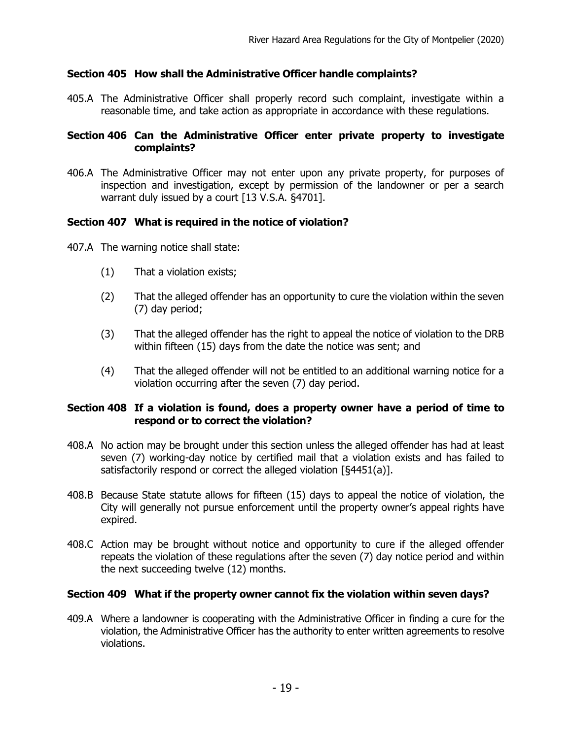#### Section 405 How shall the Administrative Officer handle complaints?

405.A The Administrative Officer shall properly record such complaint, investigate within a reasonable time, and take action as appropriate in accordance with these regulations.

#### Section 406 Can the Administrative Officer enter private property to investigate complaints?

406.A The Administrative Officer may not enter upon any private property, for purposes of inspection and investigation, except by permission of the landowner or per a search warrant duly issued by a court [13 V.S.A. §4701].

#### Section 407 What is required in the notice of violation?

- 407.A The warning notice shall state:
	- (1) That a violation exists;
	- (2) That the alleged offender has an opportunity to cure the violation within the seven (7) day period;
	- (3) That the alleged offender has the right to appeal the notice of violation to the DRB within fifteen (15) days from the date the notice was sent; and
	- (4) That the alleged offender will not be entitled to an additional warning notice for a violation occurring after the seven (7) day period.

#### Section 408 If a violation is found, does a property owner have a period of time to respond or to correct the violation?

- 408.A No action may be brought under this section unless the alleged offender has had at least seven (7) working-day notice by certified mail that a violation exists and has failed to satisfactorily respond or correct the alleged violation [§4451(a)].
- 408.B Because State statute allows for fifteen (15) days to appeal the notice of violation, the City will generally not pursue enforcement until the property owner's appeal rights have expired.
- 408.C Action may be brought without notice and opportunity to cure if the alleged offender repeats the violation of these regulations after the seven (7) day notice period and within the next succeeding twelve (12) months.

#### Section 409 What if the property owner cannot fix the violation within seven days?

409.A Where a landowner is cooperating with the Administrative Officer in finding a cure for the violation, the Administrative Officer has the authority to enter written agreements to resolve violations.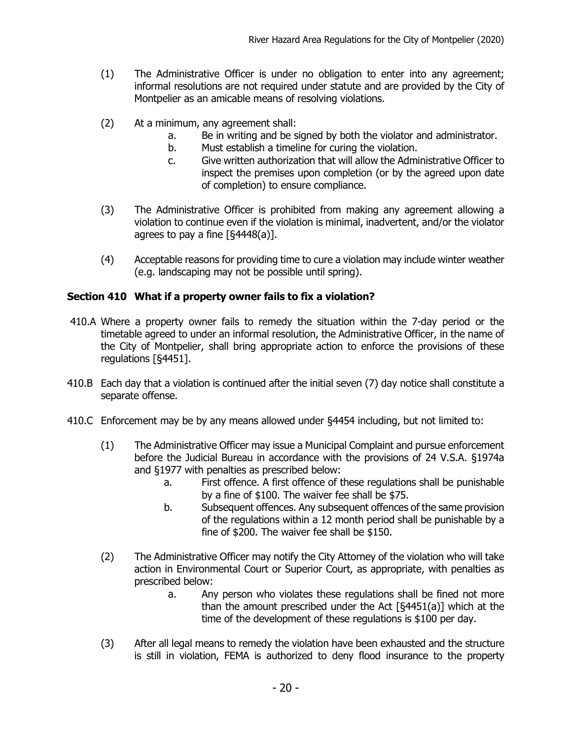- (1) The Administrative Officer is under no obligation to enter into any agreement; informal resolutions are not required under statute and are provided by the City of Montpelier as an amicable means of resolving violations.
- (2) At a minimum, any agreement shall:
	- a. Be in writing and be signed by both the violator and administrator.
	- b. Must establish a timeline for curing the violation.
	- c. Give written authorization that will allow the Administrative Officer to inspect the premises upon completion (or by the agreed upon date of completion) to ensure compliance.
- (3) The Administrative Officer is prohibited from making any agreement allowing a violation to continue even if the violation is minimal, inadvertent, and/or the violator agrees to pay a fine  $[§4448(a)].$
- (4) Acceptable reasons for providing time to cure a violation may include winter weather (e.g. landscaping may not be possible until spring).

#### Section 410 What if a property owner fails to fix a violation?

- 410.A Where a property owner fails to remedy the situation within the 7-day period or the timetable agreed to under an informal resolution, the Administrative Officer, in the name of the City of Montpelier, shall bring appropriate action to enforce the provisions of these regulations [§4451].
- 410.B Each day that a violation is continued after the initial seven (7) day notice shall constitute a separate offense.
- 410.C Enforcement may be by any means allowed under §4454 including, but not limited to:
	- (1) The Administrative Officer may issue a Municipal Complaint and pursue enforcement before the Judicial Bureau in accordance with the provisions of 24 V.S.A. §1974a and §1977 with penalties as prescribed below:
		- a. First offence. A first offence of these regulations shall be punishable by a fine of \$100. The waiver fee shall be \$75.
		- b. Subsequent offences. Any subsequent offences of the same provision of the regulations within a 12 month period shall be punishable by a fine of \$200. The waiver fee shall be \$150.
	- (2) The Administrative Officer may notify the City Attorney of the violation who will take action in Environmental Court or Superior Court, as appropriate, with penalties as prescribed below:
		- a. Any person who violates these regulations shall be fined not more than the amount prescribed under the Act [§4451(a)] which at the time of the development of these regulations is \$100 per day.
	- (3) After all legal means to remedy the violation have been exhausted and the structure is still in violation, FEMA is authorized to deny flood insurance to the property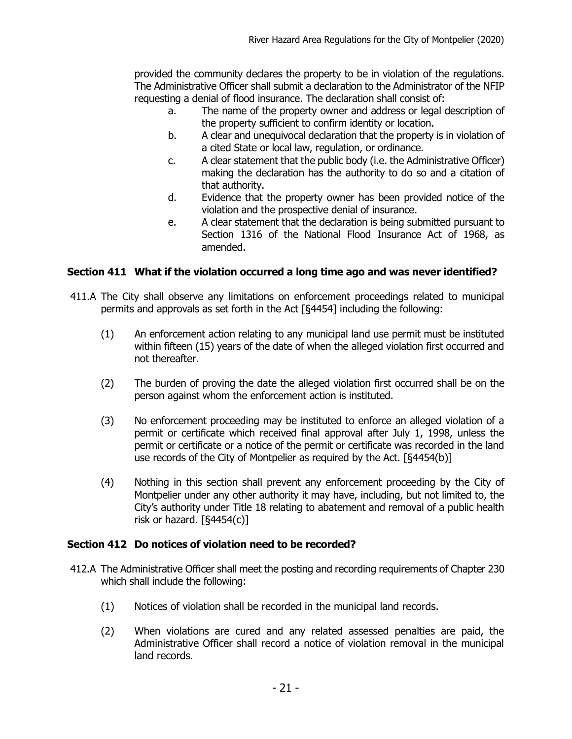provided the community declares the property to be in violation of the regulations. The Administrative Officer shall submit a declaration to the Administrator of the NFIP requesting a denial of flood insurance. The declaration shall consist of:

- a. The name of the property owner and address or legal description of the property sufficient to confirm identity or location.
- b. A clear and unequivocal declaration that the property is in violation of a cited State or local law, regulation, or ordinance.
- c. A clear statement that the public body (i.e. the Administrative Officer) making the declaration has the authority to do so and a citation of that authority.
- d. Evidence that the property owner has been provided notice of the violation and the prospective denial of insurance.
- e. A clear statement that the declaration is being submitted pursuant to Section 1316 of the National Flood Insurance Act of 1968, as amended.

#### Section 411 What if the violation occurred a long time ago and was never identified?

- 411.A The City shall observe any limitations on enforcement proceedings related to municipal permits and approvals as set forth in the Act [§4454] including the following:
	- (1) An enforcement action relating to any municipal land use permit must be instituted within fifteen (15) years of the date of when the alleged violation first occurred and not thereafter.
	- (2) The burden of proving the date the alleged violation first occurred shall be on the person against whom the enforcement action is instituted.
	- (3) No enforcement proceeding may be instituted to enforce an alleged violation of a permit or certificate which received final approval after July 1, 1998, unless the permit or certificate or a notice of the permit or certificate was recorded in the land use records of the City of Montpelier as required by the Act. [§4454(b)]
	- (4) Nothing in this section shall prevent any enforcement proceeding by the City of Montpelier under any other authority it may have, including, but not limited to, the City's authority under Title 18 relating to abatement and removal of a public health risk or hazard. [§4454(c)]

#### Section 412 Do notices of violation need to be recorded?

- 412.A The Administrative Officer shall meet the posting and recording requirements of Chapter 230 which shall include the following:
	- (1) Notices of violation shall be recorded in the municipal land records.
	- (2) When violations are cured and any related assessed penalties are paid, the Administrative Officer shall record a notice of violation removal in the municipal land records.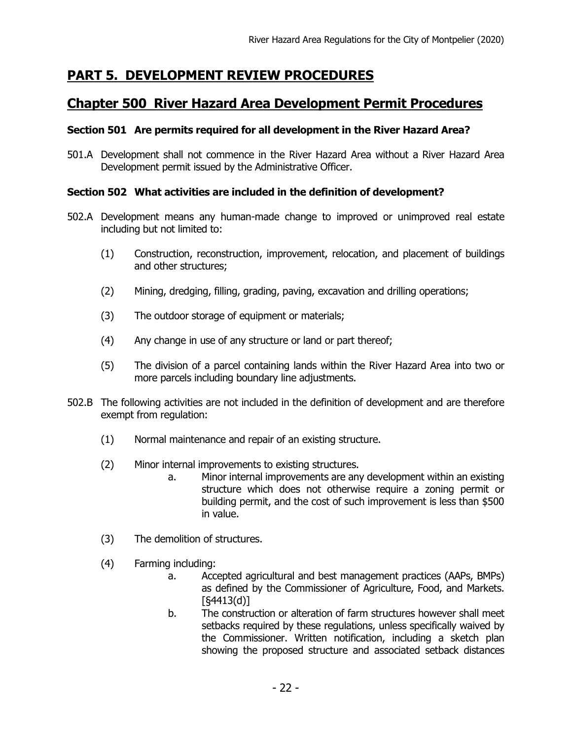### PART 5. DEVELOPMENT REVIEW PROCEDURES

### Chapter 500 River Hazard Area Development Permit Procedures

#### Section 501 Are permits required for all development in the River Hazard Area?

501.A Development shall not commence in the River Hazard Area without a River Hazard Area Development permit issued by the Administrative Officer.

#### Section 502 What activities are included in the definition of development?

- 502.A Development means any human-made change to improved or unimproved real estate including but not limited to:
	- (1) Construction, reconstruction, improvement, relocation, and placement of buildings and other structures;
	- (2) Mining, dredging, filling, grading, paving, excavation and drilling operations;
	- (3) The outdoor storage of equipment or materials;
	- (4) Any change in use of any structure or land or part thereof;
	- (5) The division of a parcel containing lands within the River Hazard Area into two or more parcels including boundary line adjustments.
- 502.B The following activities are not included in the definition of development and are therefore exempt from regulation:
	- (1) Normal maintenance and repair of an existing structure.
	- (2) Minor internal improvements to existing structures.
		- a. Minor internal improvements are any development within an existing structure which does not otherwise require a zoning permit or building permit, and the cost of such improvement is less than \$500 in value.
	- (3) The demolition of structures.
	- (4) Farming including:
		- a. Accepted agricultural and best management practices (AAPs, BMPs) as defined by the Commissioner of Agriculture, Food, and Markets. [§4413(d)]
		- b. The construction or alteration of farm structures however shall meet setbacks required by these regulations, unless specifically waived by the Commissioner. Written notification, including a sketch plan showing the proposed structure and associated setback distances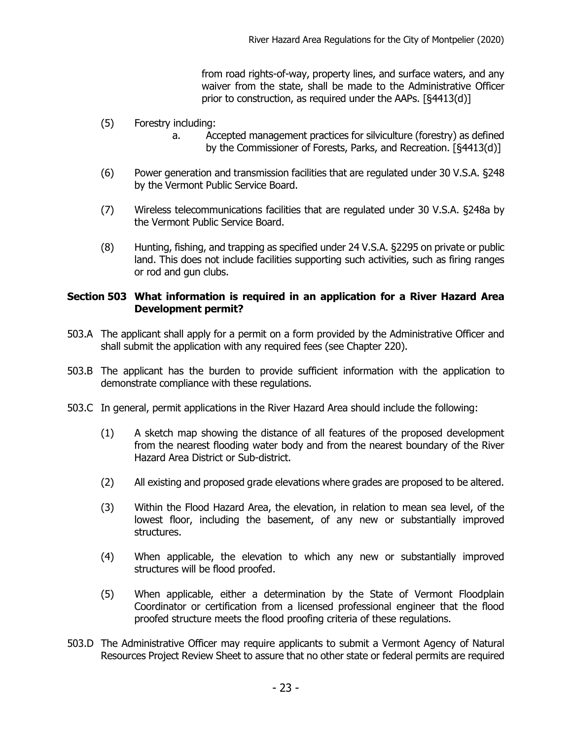from road rights-of-way, property lines, and surface waters, and any waiver from the state, shall be made to the Administrative Officer prior to construction, as required under the AAPs. [§4413(d)]

- (5) Forestry including:
	- a. Accepted management practices for silviculture (forestry) as defined by the Commissioner of Forests, Parks, and Recreation. [§4413(d)]
- (6) Power generation and transmission facilities that are regulated under 30 V.S.A. §248 by the Vermont Public Service Board.
- (7) Wireless telecommunications facilities that are regulated under 30 V.S.A. §248a by the Vermont Public Service Board.
- (8) Hunting, fishing, and trapping as specified under 24 V.S.A. §2295 on private or public land. This does not include facilities supporting such activities, such as firing ranges or rod and gun clubs.

#### Section 503 What information is required in an application for a River Hazard Area Development permit?

- 503.A The applicant shall apply for a permit on a form provided by the Administrative Officer and shall submit the application with any required fees (see Chapter 220).
- 503.B The applicant has the burden to provide sufficient information with the application to demonstrate compliance with these regulations.
- 503.C In general, permit applications in the River Hazard Area should include the following:
	- (1) A sketch map showing the distance of all features of the proposed development from the nearest flooding water body and from the nearest boundary of the River Hazard Area District or Sub-district.
	- (2) All existing and proposed grade elevations where grades are proposed to be altered.
	- (3) Within the Flood Hazard Area, the elevation, in relation to mean sea level, of the lowest floor, including the basement, of any new or substantially improved structures.
	- (4) When applicable, the elevation to which any new or substantially improved structures will be flood proofed.
	- (5) When applicable, either a determination by the State of Vermont Floodplain Coordinator or certification from a licensed professional engineer that the flood proofed structure meets the flood proofing criteria of these regulations.
- 503.D The Administrative Officer may require applicants to submit a Vermont Agency of Natural Resources Project Review Sheet to assure that no other state or federal permits are required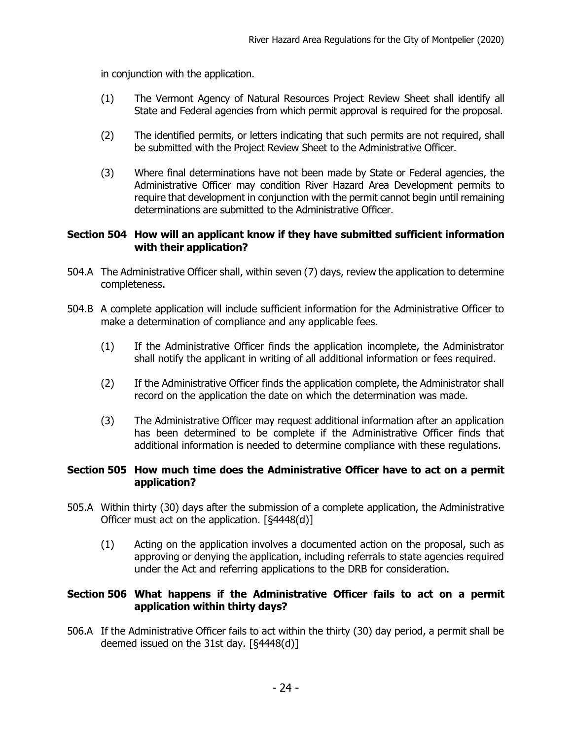in conjunction with the application.

- (1) The Vermont Agency of Natural Resources Project Review Sheet shall identify all State and Federal agencies from which permit approval is required for the proposal.
- (2) The identified permits, or letters indicating that such permits are not required, shall be submitted with the Project Review Sheet to the Administrative Officer.
- (3) Where final determinations have not been made by State or Federal agencies, the Administrative Officer may condition River Hazard Area Development permits to require that development in conjunction with the permit cannot begin until remaining determinations are submitted to the Administrative Officer.

#### Section 504 How will an applicant know if they have submitted sufficient information with their application?

- 504.A The Administrative Officer shall, within seven (7) days, review the application to determine completeness.
- 504.B A complete application will include sufficient information for the Administrative Officer to make a determination of compliance and any applicable fees.
	- (1) If the Administrative Officer finds the application incomplete, the Administrator shall notify the applicant in writing of all additional information or fees required.
	- (2) If the Administrative Officer finds the application complete, the Administrator shall record on the application the date on which the determination was made.
	- (3) The Administrative Officer may request additional information after an application has been determined to be complete if the Administrative Officer finds that additional information is needed to determine compliance with these regulations.

#### Section 505 How much time does the Administrative Officer have to act on a permit application?

- 505.A Within thirty (30) days after the submission of a complete application, the Administrative Officer must act on the application. [§4448(d)]
	- (1) Acting on the application involves a documented action on the proposal, such as approving or denying the application, including referrals to state agencies required under the Act and referring applications to the DRB for consideration.

#### Section 506 What happens if the Administrative Officer fails to act on a permit application within thirty days?

506.A If the Administrative Officer fails to act within the thirty (30) day period, a permit shall be deemed issued on the 31st day. [§4448(d)]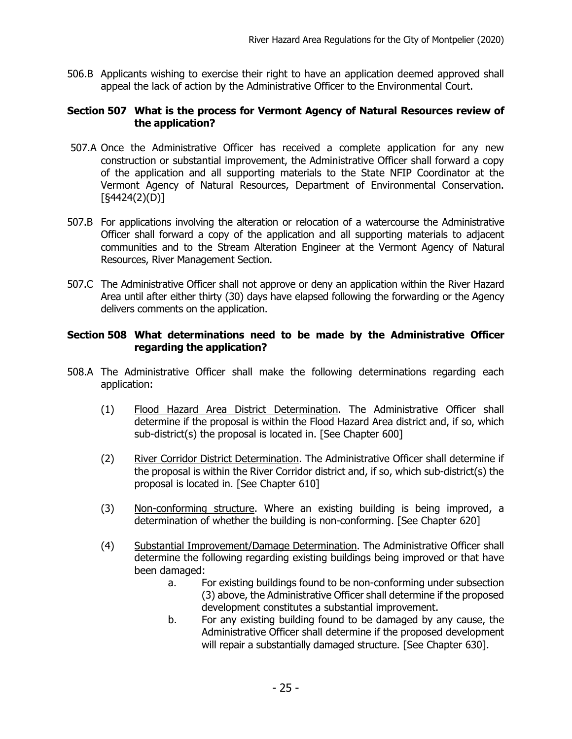506.B Applicants wishing to exercise their right to have an application deemed approved shall appeal the lack of action by the Administrative Officer to the Environmental Court.

#### Section 507 What is the process for Vermont Agency of Natural Resources review of the application?

- 507.A Once the Administrative Officer has received a complete application for any new construction or substantial improvement, the Administrative Officer shall forward a copy of the application and all supporting materials to the State NFIP Coordinator at the Vermont Agency of Natural Resources, Department of Environmental Conservation. [§4424(2)(D)]
- 507.B For applications involving the alteration or relocation of a watercourse the Administrative Officer shall forward a copy of the application and all supporting materials to adjacent communities and to the Stream Alteration Engineer at the Vermont Agency of Natural Resources, River Management Section.
- 507.C The Administrative Officer shall not approve or deny an application within the River Hazard Area until after either thirty (30) days have elapsed following the forwarding or the Agency delivers comments on the application.

#### Section 508 What determinations need to be made by the Administrative Officer regarding the application?

- 508.A The Administrative Officer shall make the following determinations regarding each application:
	- (1) Flood Hazard Area District Determination. The Administrative Officer shall determine if the proposal is within the Flood Hazard Area district and, if so, which sub-district(s) the proposal is located in. [See Chapter 600]
	- (2) River Corridor District Determination. The Administrative Officer shall determine if the proposal is within the River Corridor district and, if so, which sub-district(s) the proposal is located in. [See Chapter 610]
	- (3) Non-conforming structure. Where an existing building is being improved, a determination of whether the building is non-conforming. [See Chapter 620]
	- (4) Substantial Improvement/Damage Determination. The Administrative Officer shall determine the following regarding existing buildings being improved or that have been damaged:
		- a. For existing buildings found to be non-conforming under subsection (3) above, the Administrative Officer shall determine if the proposed development constitutes a substantial improvement.
		- b. For any existing building found to be damaged by any cause, the Administrative Officer shall determine if the proposed development will repair a substantially damaged structure. [See Chapter 630].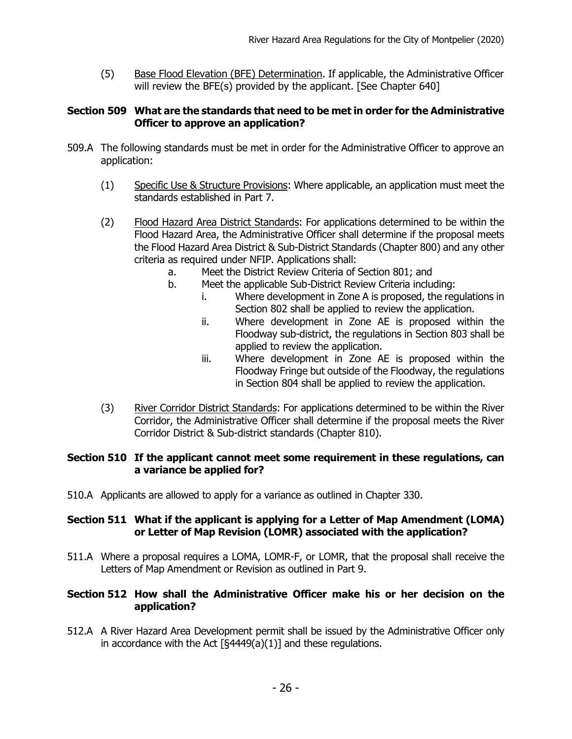(5) Base Flood Elevation (BFE) Determination. If applicable, the Administrative Officer will review the BFE(s) provided by the applicant. [See Chapter 640]

#### Section 509 What are the standards that need to be met in order for the Administrative Officer to approve an application?

- 509.A The following standards must be met in order for the Administrative Officer to approve an application:
	- (1) Specific Use & Structure Provisions: Where applicable, an application must meet the standards established in Part 7.
	- (2) Flood Hazard Area District Standards: For applications determined to be within the Flood Hazard Area, the Administrative Officer shall determine if the proposal meets the Flood Hazard Area District & Sub-District Standards (Chapter 800) and any other criteria as required under NFIP. Applications shall:
		- a. Meet the District Review Criteria of Section 801; and
		- b. Meet the applicable Sub-District Review Criteria including:
			- i. Where development in Zone A is proposed, the regulations in Section 802 shall be applied to review the application.
			- ii. Where development in Zone AE is proposed within the Floodway sub-district, the regulations in Section 803 shall be applied to review the application.
			- iii. Where development in Zone AE is proposed within the Floodway Fringe but outside of the Floodway, the regulations in Section 804 shall be applied to review the application.
	- (3) River Corridor District Standards: For applications determined to be within the River Corridor, the Administrative Officer shall determine if the proposal meets the River Corridor District & Sub-district standards (Chapter 810).

#### Section 510 If the applicant cannot meet some requirement in these regulations, can a variance be applied for?

510.A Applicants are allowed to apply for a variance as outlined in Chapter 330.

#### Section 511 What if the applicant is applying for a Letter of Map Amendment (LOMA) or Letter of Map Revision (LOMR) associated with the application?

511.A Where a proposal requires a LOMA, LOMR-F, or LOMR, that the proposal shall receive the Letters of Map Amendment or Revision as outlined in Part 9.

#### Section 512 How shall the Administrative Officer make his or her decision on the application?

512.A A River Hazard Area Development permit shall be issued by the Administrative Officer only in accordance with the Act  $[§4449(a)(1)]$  and these regulations.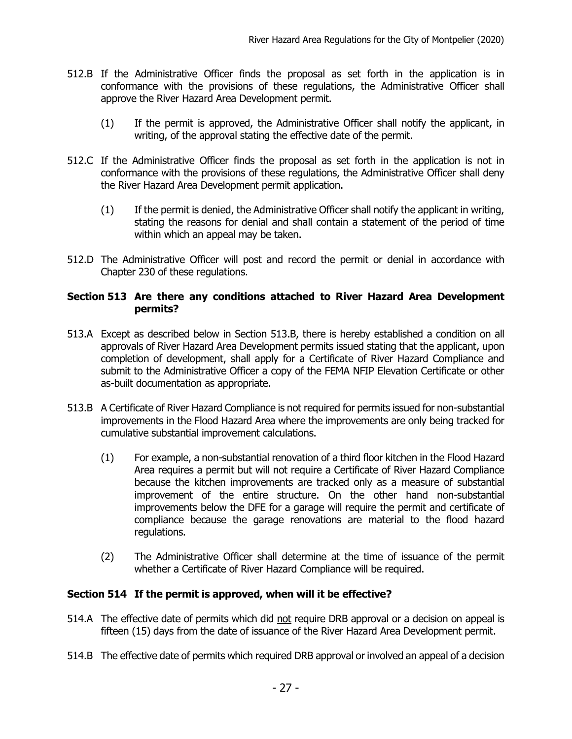- 512.B If the Administrative Officer finds the proposal as set forth in the application is in conformance with the provisions of these regulations, the Administrative Officer shall approve the River Hazard Area Development permit.
	- (1) If the permit is approved, the Administrative Officer shall notify the applicant, in writing, of the approval stating the effective date of the permit.
- 512.C If the Administrative Officer finds the proposal as set forth in the application is not in conformance with the provisions of these regulations, the Administrative Officer shall deny the River Hazard Area Development permit application.
	- (1) If the permit is denied, the Administrative Officer shall notify the applicant in writing, stating the reasons for denial and shall contain a statement of the period of time within which an appeal may be taken.
- 512.D The Administrative Officer will post and record the permit or denial in accordance with Chapter 230 of these regulations.

#### Section 513 Are there any conditions attached to River Hazard Area Development permits?

- 513.A Except as described below in Section 513.B, there is hereby established a condition on all approvals of River Hazard Area Development permits issued stating that the applicant, upon completion of development, shall apply for a Certificate of River Hazard Compliance and submit to the Administrative Officer a copy of the FEMA NFIP Elevation Certificate or other as-built documentation as appropriate.
- 513.B A Certificate of River Hazard Compliance is not required for permits issued for non-substantial improvements in the Flood Hazard Area where the improvements are only being tracked for cumulative substantial improvement calculations.
	- (1) For example, a non-substantial renovation of a third floor kitchen in the Flood Hazard Area requires a permit but will not require a Certificate of River Hazard Compliance because the kitchen improvements are tracked only as a measure of substantial improvement of the entire structure. On the other hand non-substantial improvements below the DFE for a garage will require the permit and certificate of compliance because the garage renovations are material to the flood hazard regulations.
	- (2) The Administrative Officer shall determine at the time of issuance of the permit whether a Certificate of River Hazard Compliance will be required.

#### Section 514 If the permit is approved, when will it be effective?

- 514.A The effective date of permits which did not require DRB approval or a decision on appeal is fifteen (15) days from the date of issuance of the River Hazard Area Development permit.
- 514.B The effective date of permits which required DRB approval or involved an appeal of a decision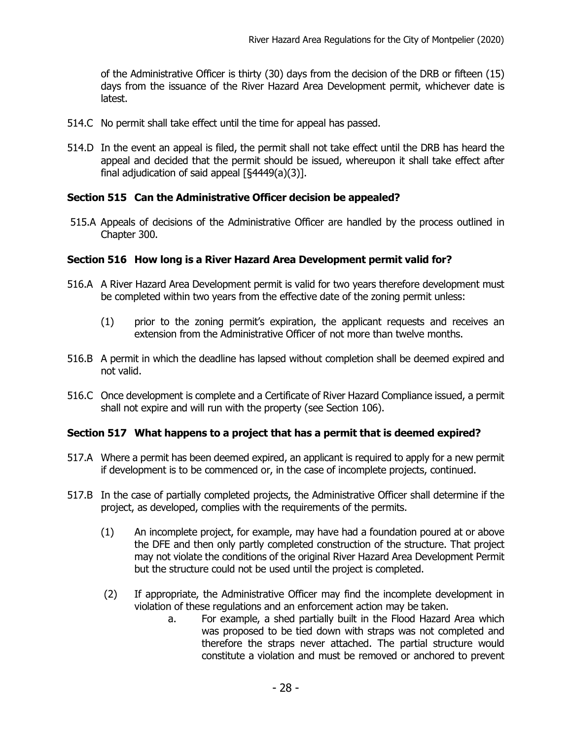of the Administrative Officer is thirty (30) days from the decision of the DRB or fifteen (15) days from the issuance of the River Hazard Area Development permit, whichever date is latest.

- 514.C No permit shall take effect until the time for appeal has passed.
- 514.D In the event an appeal is filed, the permit shall not take effect until the DRB has heard the appeal and decided that the permit should be issued, whereupon it shall take effect after final adjudication of said appeal [§4449(a)(3)].

#### Section 515 Can the Administrative Officer decision be appealed?

 515.A Appeals of decisions of the Administrative Officer are handled by the process outlined in Chapter 300.

#### Section 516 How long is a River Hazard Area Development permit valid for?

- 516.A A River Hazard Area Development permit is valid for two years therefore development must be completed within two years from the effective date of the zoning permit unless:
	- (1) prior to the zoning permit's expiration, the applicant requests and receives an extension from the Administrative Officer of not more than twelve months.
- 516.B A permit in which the deadline has lapsed without completion shall be deemed expired and not valid.
- 516.C Once development is complete and a Certificate of River Hazard Compliance issued, a permit shall not expire and will run with the property (see Section 106).

#### Section 517 What happens to a project that has a permit that is deemed expired?

- 517.A Where a permit has been deemed expired, an applicant is required to apply for a new permit if development is to be commenced or, in the case of incomplete projects, continued.
- 517.B In the case of partially completed projects, the Administrative Officer shall determine if the project, as developed, complies with the requirements of the permits.
	- (1) An incomplete project, for example, may have had a foundation poured at or above the DFE and then only partly completed construction of the structure. That project may not violate the conditions of the original River Hazard Area Development Permit but the structure could not be used until the project is completed.
	- (2) If appropriate, the Administrative Officer may find the incomplete development in violation of these regulations and an enforcement action may be taken.
		- a. For example, a shed partially built in the Flood Hazard Area which was proposed to be tied down with straps was not completed and therefore the straps never attached. The partial structure would constitute a violation and must be removed or anchored to prevent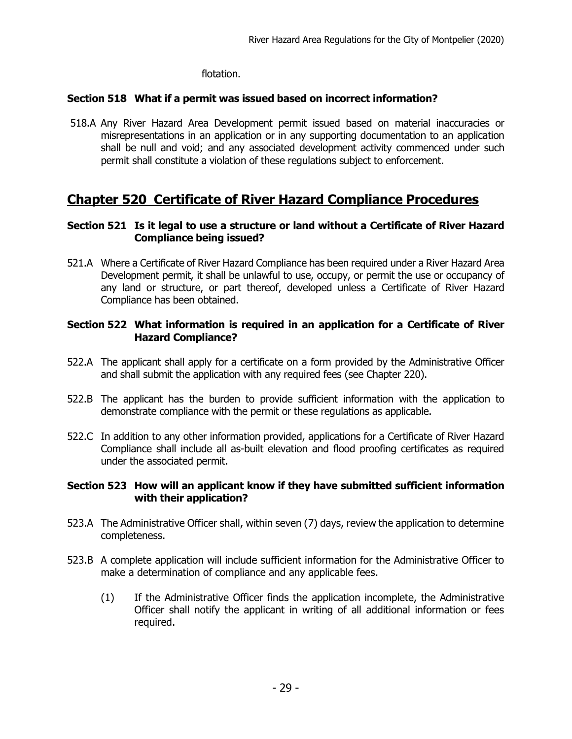flotation.

#### Section 518 What if a permit was issued based on incorrect information?

 518.A Any River Hazard Area Development permit issued based on material inaccuracies or misrepresentations in an application or in any supporting documentation to an application shall be null and void; and any associated development activity commenced under such permit shall constitute a violation of these regulations subject to enforcement.

### Chapter 520 Certificate of River Hazard Compliance Procedures

#### Section 521 Is it legal to use a structure or land without a Certificate of River Hazard Compliance being issued?

521.A Where a Certificate of River Hazard Compliance has been required under a River Hazard Area Development permit, it shall be unlawful to use, occupy, or permit the use or occupancy of any land or structure, or part thereof, developed unless a Certificate of River Hazard Compliance has been obtained.

#### Section 522 What information is required in an application for a Certificate of River Hazard Compliance?

- 522.A The applicant shall apply for a certificate on a form provided by the Administrative Officer and shall submit the application with any required fees (see Chapter 220).
- 522.B The applicant has the burden to provide sufficient information with the application to demonstrate compliance with the permit or these regulations as applicable.
- 522.C In addition to any other information provided, applications for a Certificate of River Hazard Compliance shall include all as-built elevation and flood proofing certificates as required under the associated permit.

#### Section 523 How will an applicant know if they have submitted sufficient information with their application?

- 523.A The Administrative Officer shall, within seven (7) days, review the application to determine completeness.
- 523.B A complete application will include sufficient information for the Administrative Officer to make a determination of compliance and any applicable fees.
	- (1) If the Administrative Officer finds the application incomplete, the Administrative Officer shall notify the applicant in writing of all additional information or fees required.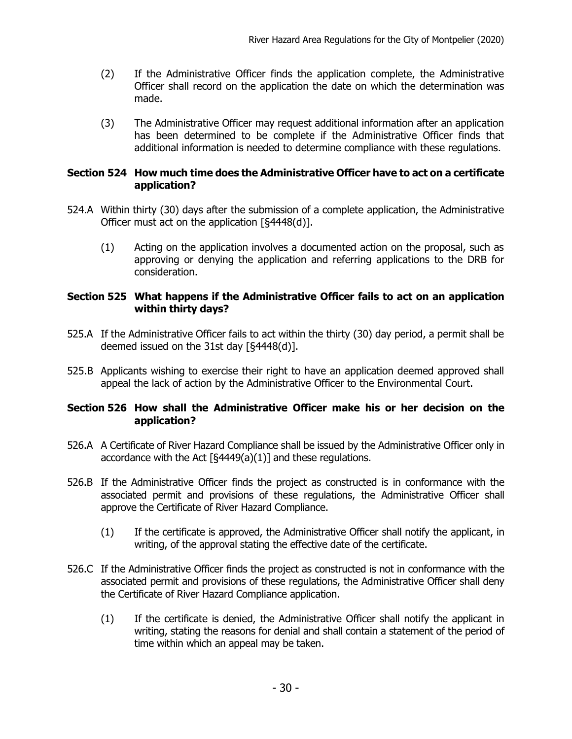- (2) If the Administrative Officer finds the application complete, the Administrative Officer shall record on the application the date on which the determination was made.
- (3) The Administrative Officer may request additional information after an application has been determined to be complete if the Administrative Officer finds that additional information is needed to determine compliance with these regulations.

#### Section 524 How much time does the Administrative Officer have to act on a certificate application?

- 524.A Within thirty (30) days after the submission of a complete application, the Administrative Officer must act on the application [§4448(d)].
	- (1) Acting on the application involves a documented action on the proposal, such as approving or denying the application and referring applications to the DRB for consideration.

#### Section 525 What happens if the Administrative Officer fails to act on an application within thirty days?

- 525.A If the Administrative Officer fails to act within the thirty (30) day period, a permit shall be deemed issued on the 31st day [§4448(d)].
- 525.B Applicants wishing to exercise their right to have an application deemed approved shall appeal the lack of action by the Administrative Officer to the Environmental Court.

#### Section 526 How shall the Administrative Officer make his or her decision on the application?

- 526.A A Certificate of River Hazard Compliance shall be issued by the Administrative Officer only in accordance with the Act [§4449(a)(1)] and these regulations.
- 526.B If the Administrative Officer finds the project as constructed is in conformance with the associated permit and provisions of these regulations, the Administrative Officer shall approve the Certificate of River Hazard Compliance.
	- (1) If the certificate is approved, the Administrative Officer shall notify the applicant, in writing, of the approval stating the effective date of the certificate.
- 526.C If the Administrative Officer finds the project as constructed is not in conformance with the associated permit and provisions of these regulations, the Administrative Officer shall deny the Certificate of River Hazard Compliance application.
	- (1) If the certificate is denied, the Administrative Officer shall notify the applicant in writing, stating the reasons for denial and shall contain a statement of the period of time within which an appeal may be taken.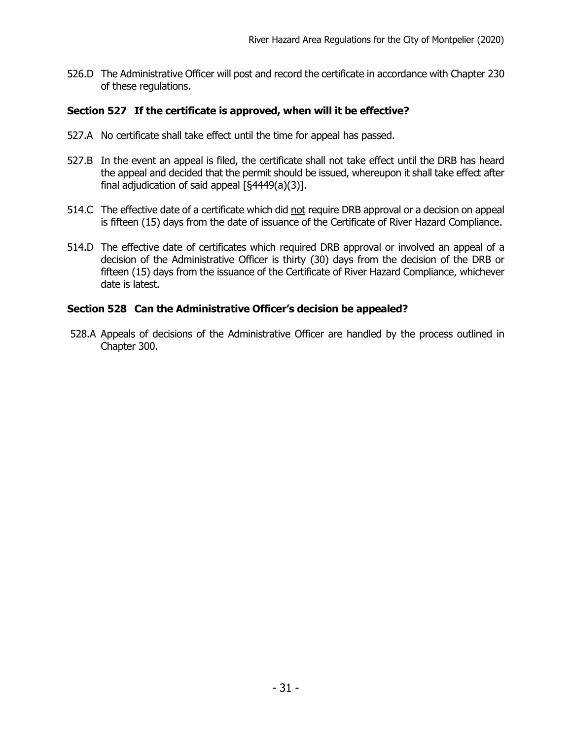526.D The Administrative Officer will post and record the certificate in accordance with Chapter 230 of these regulations.

#### Section 527 If the certificate is approved, when will it be effective?

- 527.A No certificate shall take effect until the time for appeal has passed.
- 527.B In the event an appeal is filed, the certificate shall not take effect until the DRB has heard the appeal and decided that the permit should be issued, whereupon it shall take effect after final adjudication of said appeal [§4449(a)(3)].
- 514.C The effective date of a certificate which did not require DRB approval or a decision on appeal is fifteen (15) days from the date of issuance of the Certificate of River Hazard Compliance.
- 514.D The effective date of certificates which required DRB approval or involved an appeal of a decision of the Administrative Officer is thirty (30) days from the decision of the DRB or fifteen (15) days from the issuance of the Certificate of River Hazard Compliance, whichever date is latest.

#### Section 528 Can the Administrative Officer's decision be appealed?

 528.A Appeals of decisions of the Administrative Officer are handled by the process outlined in Chapter 300.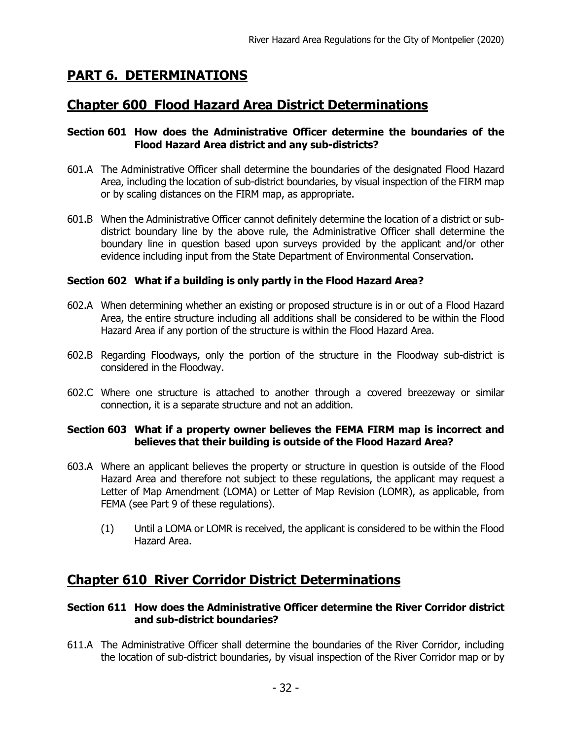### PART 6. DETERMINATIONS

### Chapter 600 Flood Hazard Area District Determinations

#### Section 601 How does the Administrative Officer determine the boundaries of the Flood Hazard Area district and any sub-districts?

- 601.A The Administrative Officer shall determine the boundaries of the designated Flood Hazard Area, including the location of sub-district boundaries, by visual inspection of the FIRM map or by scaling distances on the FIRM map, as appropriate.
- 601.B When the Administrative Officer cannot definitely determine the location of a district or subdistrict boundary line by the above rule, the Administrative Officer shall determine the boundary line in question based upon surveys provided by the applicant and/or other evidence including input from the State Department of Environmental Conservation.

#### Section 602 What if a building is only partly in the Flood Hazard Area?

- 602.A When determining whether an existing or proposed structure is in or out of a Flood Hazard Area, the entire structure including all additions shall be considered to be within the Flood Hazard Area if any portion of the structure is within the Flood Hazard Area.
- 602.B Regarding Floodways, only the portion of the structure in the Floodway sub-district is considered in the Floodway.
- 602.C Where one structure is attached to another through a covered breezeway or similar connection, it is a separate structure and not an addition.

#### Section 603 What if a property owner believes the FEMA FIRM map is incorrect and believes that their building is outside of the Flood Hazard Area?

- 603.A Where an applicant believes the property or structure in question is outside of the Flood Hazard Area and therefore not subject to these regulations, the applicant may request a Letter of Map Amendment (LOMA) or Letter of Map Revision (LOMR), as applicable, from FEMA (see Part 9 of these regulations).
	- (1) Until a LOMA or LOMR is received, the applicant is considered to be within the Flood Hazard Area.

### Chapter 610 River Corridor District Determinations

#### Section 611 How does the Administrative Officer determine the River Corridor district and sub-district boundaries?

611.A The Administrative Officer shall determine the boundaries of the River Corridor, including the location of sub-district boundaries, by visual inspection of the River Corridor map or by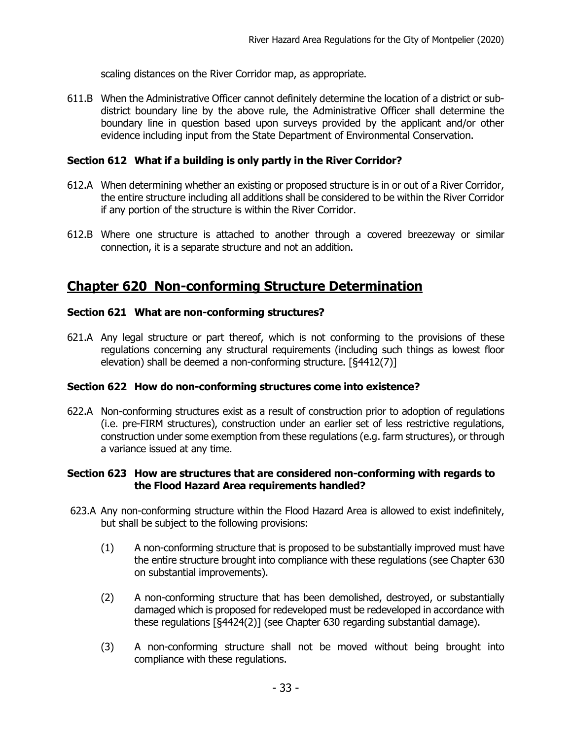scaling distances on the River Corridor map, as appropriate.

611.B When the Administrative Officer cannot definitely determine the location of a district or subdistrict boundary line by the above rule, the Administrative Officer shall determine the boundary line in question based upon surveys provided by the applicant and/or other evidence including input from the State Department of Environmental Conservation.

#### Section 612 What if a building is only partly in the River Corridor?

- 612.A When determining whether an existing or proposed structure is in or out of a River Corridor, the entire structure including all additions shall be considered to be within the River Corridor if any portion of the structure is within the River Corridor.
- 612.B Where one structure is attached to another through a covered breezeway or similar connection, it is a separate structure and not an addition.

### Chapter 620 Non-conforming Structure Determination

#### Section 621 What are non-conforming structures?

621.A Any legal structure or part thereof, which is not conforming to the provisions of these regulations concerning any structural requirements (including such things as lowest floor elevation) shall be deemed a non-conforming structure. [§4412(7)]

#### Section 622 How do non-conforming structures come into existence?

622.A Non-conforming structures exist as a result of construction prior to adoption of regulations (i.e. pre-FIRM structures), construction under an earlier set of less restrictive regulations, construction under some exemption from these regulations (e.g. farm structures), or through a variance issued at any time.

#### Section 623 How are structures that are considered non-conforming with regards to the Flood Hazard Area requirements handled?

- 623.A Any non-conforming structure within the Flood Hazard Area is allowed to exist indefinitely, but shall be subject to the following provisions:
	- (1) A non-conforming structure that is proposed to be substantially improved must have the entire structure brought into compliance with these regulations (see Chapter 630 on substantial improvements).
	- (2) A non-conforming structure that has been demolished, destroyed, or substantially damaged which is proposed for redeveloped must be redeveloped in accordance with these regulations [§4424(2)] (see Chapter 630 regarding substantial damage).
	- (3) A non-conforming structure shall not be moved without being brought into compliance with these regulations.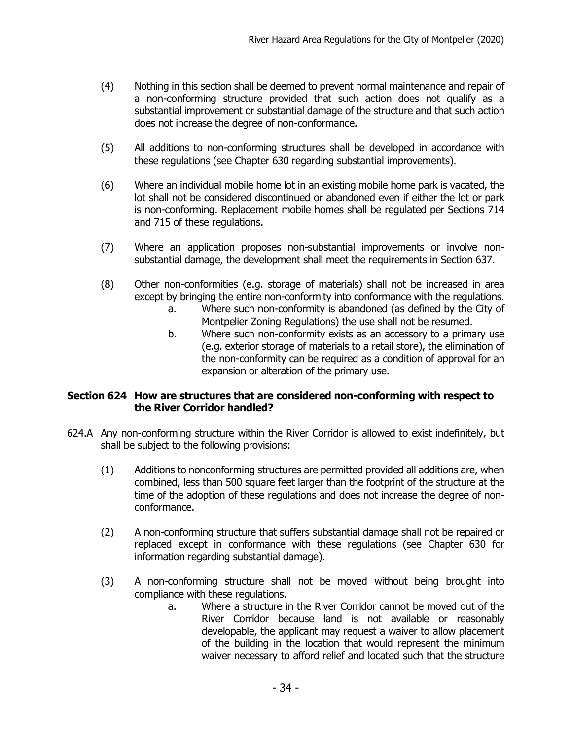- (4) Nothing in this section shall be deemed to prevent normal maintenance and repair of a non-conforming structure provided that such action does not qualify as a substantial improvement or substantial damage of the structure and that such action does not increase the degree of non-conformance.
- (5) All additions to non-conforming structures shall be developed in accordance with these regulations (see Chapter 630 regarding substantial improvements).
- (6) Where an individual mobile home lot in an existing mobile home park is vacated, the lot shall not be considered discontinued or abandoned even if either the lot or park is non-conforming. Replacement mobile homes shall be regulated per Sections 714 and 715 of these regulations.
- (7) Where an application proposes non-substantial improvements or involve nonsubstantial damage, the development shall meet the requirements in Section 637.
- (8) Other non-conformities (e.g. storage of materials) shall not be increased in area except by bringing the entire non-conformity into conformance with the regulations.
	- a. Where such non-conformity is abandoned (as defined by the City of Montpelier Zoning Regulations) the use shall not be resumed.
	- b. Where such non-conformity exists as an accessory to a primary use (e.g. exterior storage of materials to a retail store), the elimination of the non-conformity can be required as a condition of approval for an expansion or alteration of the primary use.

#### Section 624 How are structures that are considered non-conforming with respect to the River Corridor handled?

- 624.A Any non-conforming structure within the River Corridor is allowed to exist indefinitely, but shall be subject to the following provisions:
	- (1) Additions to nonconforming structures are permitted provided all additions are, when combined, less than 500 square feet larger than the footprint of the structure at the time of the adoption of these regulations and does not increase the degree of nonconformance.
	- (2) A non-conforming structure that suffers substantial damage shall not be repaired or replaced except in conformance with these regulations (see Chapter 630 for information regarding substantial damage).
	- (3) A non-conforming structure shall not be moved without being brought into compliance with these regulations.
		- a. Where a structure in the River Corridor cannot be moved out of the River Corridor because land is not available or reasonably developable, the applicant may request a waiver to allow placement of the building in the location that would represent the minimum waiver necessary to afford relief and located such that the structure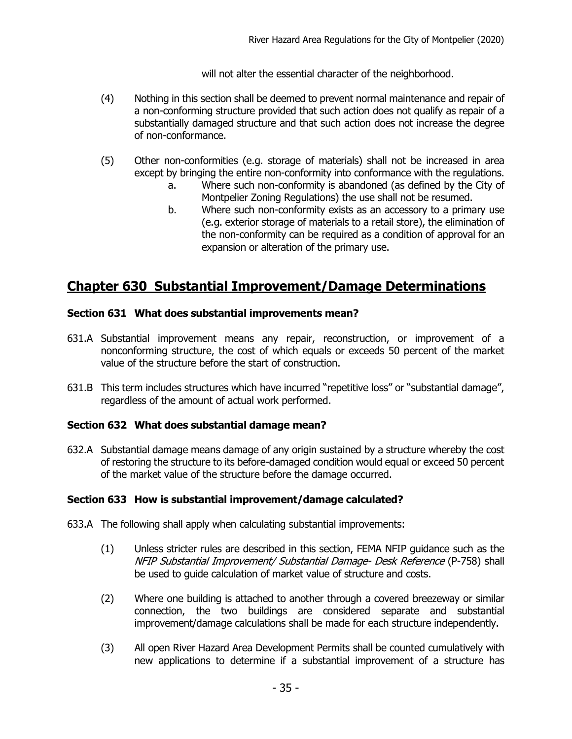will not alter the essential character of the neighborhood.

- (4) Nothing in this section shall be deemed to prevent normal maintenance and repair of a non-conforming structure provided that such action does not qualify as repair of a substantially damaged structure and that such action does not increase the degree of non-conformance.
- (5) Other non-conformities (e.g. storage of materials) shall not be increased in area except by bringing the entire non-conformity into conformance with the regulations.
	- a. Where such non-conformity is abandoned (as defined by the City of Montpelier Zoning Regulations) the use shall not be resumed.
	- b. Where such non-conformity exists as an accessory to a primary use (e.g. exterior storage of materials to a retail store), the elimination of the non-conformity can be required as a condition of approval for an expansion or alteration of the primary use.

### Chapter 630 Substantial Improvement/Damage Determinations

#### Section 631 What does substantial improvements mean?

- 631.A Substantial improvement means any repair, reconstruction, or improvement of a nonconforming structure, the cost of which equals or exceeds 50 percent of the market value of the structure before the start of construction.
- 631.B This term includes structures which have incurred "repetitive loss" or "substantial damage", regardless of the amount of actual work performed.

#### Section 632 What does substantial damage mean?

632.A Substantial damage means damage of any origin sustained by a structure whereby the cost of restoring the structure to its before-damaged condition would equal or exceed 50 percent of the market value of the structure before the damage occurred.

#### Section 633 How is substantial improvement/damage calculated?

- 633.A The following shall apply when calculating substantial improvements:
	- (1) Unless stricter rules are described in this section, FEMA NFIP guidance such as the NFIP Substantial Improvement/ Substantial Damage- Desk Reference (P-758) shall be used to guide calculation of market value of structure and costs.
	- (2) Where one building is attached to another through a covered breezeway or similar connection, the two buildings are considered separate and substantial improvement/damage calculations shall be made for each structure independently.
	- (3) All open River Hazard Area Development Permits shall be counted cumulatively with new applications to determine if a substantial improvement of a structure has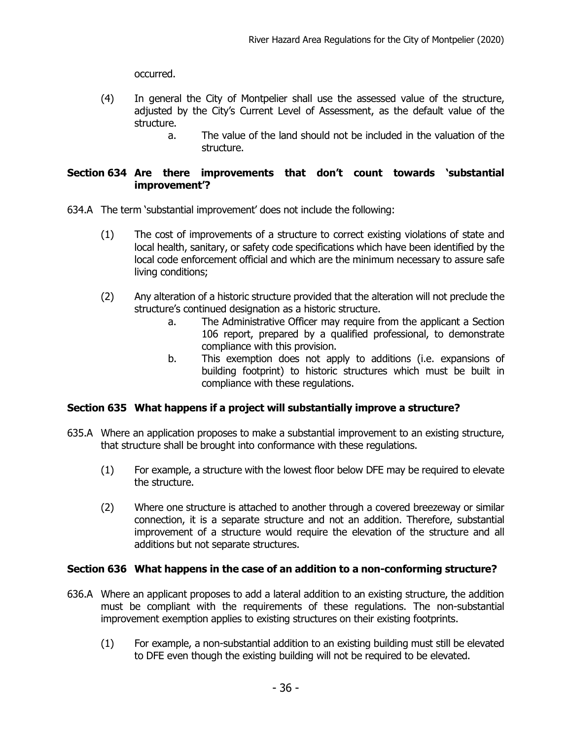occurred.

- (4) In general the City of Montpelier shall use the assessed value of the structure, adjusted by the City's Current Level of Assessment, as the default value of the structure.
	- a. The value of the land should not be included in the valuation of the structure.

#### Section 634 Are there improvements that don't count towards 'substantial improvement'?

634.A The term 'substantial improvement' does not include the following:

- (1) The cost of improvements of a structure to correct existing violations of state and local health, sanitary, or safety code specifications which have been identified by the local code enforcement official and which are the minimum necessary to assure safe living conditions;
- (2) Any alteration of a historic structure provided that the alteration will not preclude the structure's continued designation as a historic structure.
	- a. The Administrative Officer may require from the applicant a Section 106 report, prepared by a qualified professional, to demonstrate compliance with this provision.
	- b. This exemption does not apply to additions (i.e. expansions of building footprint) to historic structures which must be built in compliance with these regulations.

#### Section 635 What happens if a project will substantially improve a structure?

- 635.A Where an application proposes to make a substantial improvement to an existing structure, that structure shall be brought into conformance with these regulations.
	- (1) For example, a structure with the lowest floor below DFE may be required to elevate the structure.
	- (2) Where one structure is attached to another through a covered breezeway or similar connection, it is a separate structure and not an addition. Therefore, substantial improvement of a structure would require the elevation of the structure and all additions but not separate structures.

#### Section 636 What happens in the case of an addition to a non-conforming structure?

- 636.A Where an applicant proposes to add a lateral addition to an existing structure, the addition must be compliant with the requirements of these regulations. The non-substantial improvement exemption applies to existing structures on their existing footprints.
	- (1) For example, a non-substantial addition to an existing building must still be elevated to DFE even though the existing building will not be required to be elevated.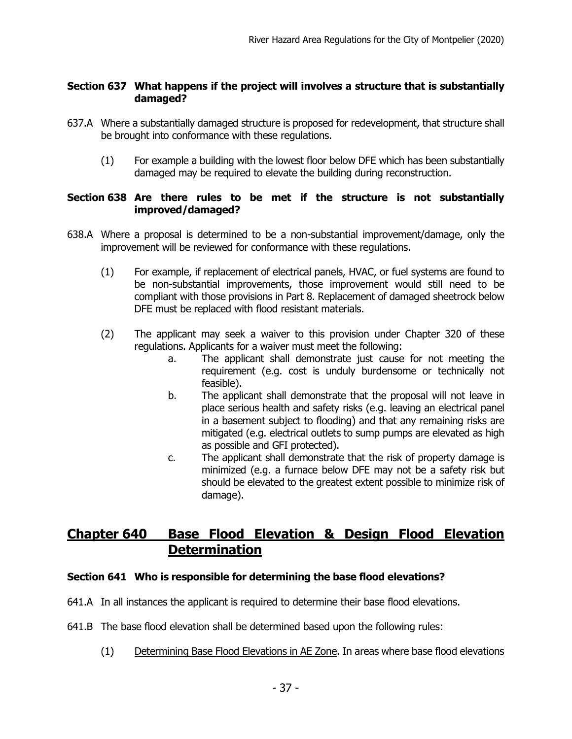#### Section 637 What happens if the project will involves a structure that is substantially damaged?

- 637.A Where a substantially damaged structure is proposed for redevelopment, that structure shall be brought into conformance with these regulations.
	- (1) For example a building with the lowest floor below DFE which has been substantially damaged may be required to elevate the building during reconstruction.

#### Section 638 Are there rules to be met if the structure is not substantially improved/damaged?

- 638.A Where a proposal is determined to be a non-substantial improvement/damage, only the improvement will be reviewed for conformance with these regulations.
	- (1) For example, if replacement of electrical panels, HVAC, or fuel systems are found to be non-substantial improvements, those improvement would still need to be compliant with those provisions in Part 8. Replacement of damaged sheetrock below DFE must be replaced with flood resistant materials.
	- (2) The applicant may seek a waiver to this provision under Chapter 320 of these regulations. Applicants for a waiver must meet the following:
		- a. The applicant shall demonstrate just cause for not meeting the requirement (e.g. cost is unduly burdensome or technically not feasible).
		- b. The applicant shall demonstrate that the proposal will not leave in place serious health and safety risks (e.g. leaving an electrical panel in a basement subject to flooding) and that any remaining risks are mitigated (e.g. electrical outlets to sump pumps are elevated as high as possible and GFI protected).
		- c. The applicant shall demonstrate that the risk of property damage is minimized (e.g. a furnace below DFE may not be a safety risk but should be elevated to the greatest extent possible to minimize risk of damage).

### Chapter 640 Base Flood Elevation & Design Flood Elevation Determination

#### Section 641 Who is responsible for determining the base flood elevations?

- 641.A In all instances the applicant is required to determine their base flood elevations.
- 641.B The base flood elevation shall be determined based upon the following rules:
	- (1) Determining Base Flood Elevations in AE Zone. In areas where base flood elevations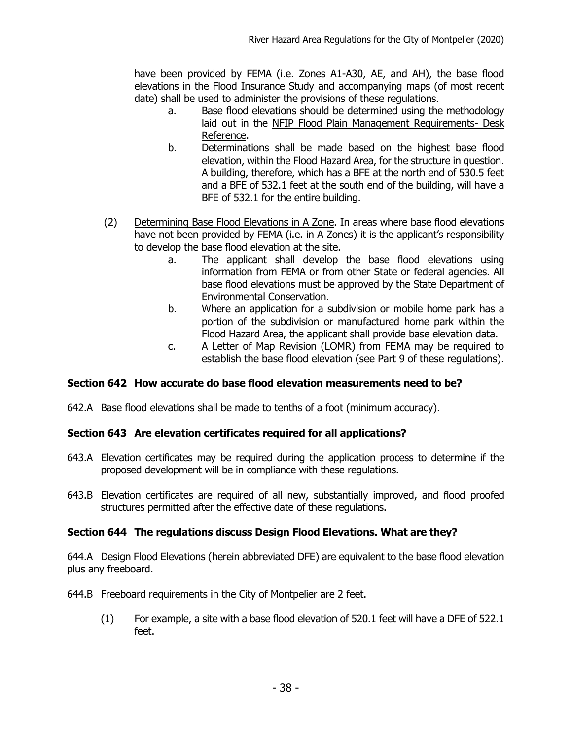have been provided by FEMA (i.e. Zones A1-A30, AE, and AH), the base flood elevations in the Flood Insurance Study and accompanying maps (of most recent date) shall be used to administer the provisions of these regulations.

- a. Base flood elevations should be determined using the methodology laid out in the NFIP Flood Plain Management Requirements- Desk Reference.
- b. Determinations shall be made based on the highest base flood elevation, within the Flood Hazard Area, for the structure in question. A building, therefore, which has a BFE at the north end of 530.5 feet and a BFE of 532.1 feet at the south end of the building, will have a BFE of 532.1 for the entire building.
- (2) Determining Base Flood Elevations in A Zone. In areas where base flood elevations have not been provided by FEMA (i.e. in A Zones) it is the applicant's responsibility to develop the base flood elevation at the site.
	- a. The applicant shall develop the base flood elevations using information from FEMA or from other State or federal agencies. All base flood elevations must be approved by the State Department of Environmental Conservation.
	- b. Where an application for a subdivision or mobile home park has a portion of the subdivision or manufactured home park within the Flood Hazard Area, the applicant shall provide base elevation data.
	- c. A Letter of Map Revision (LOMR) from FEMA may be required to establish the base flood elevation (see Part 9 of these regulations).

### Section 642 How accurate do base flood elevation measurements need to be?

642.A Base flood elevations shall be made to tenths of a foot (minimum accuracy).

### Section 643 Are elevation certificates required for all applications?

- 643.A Elevation certificates may be required during the application process to determine if the proposed development will be in compliance with these regulations.
- 643.B Elevation certificates are required of all new, substantially improved, and flood proofed structures permitted after the effective date of these regulations.

#### Section 644 The regulations discuss Design Flood Elevations. What are they?

644.A Design Flood Elevations (herein abbreviated DFE) are equivalent to the base flood elevation plus any freeboard.

644.B Freeboard requirements in the City of Montpelier are 2 feet.

(1) For example, a site with a base flood elevation of 520.1 feet will have a DFE of 522.1 feet.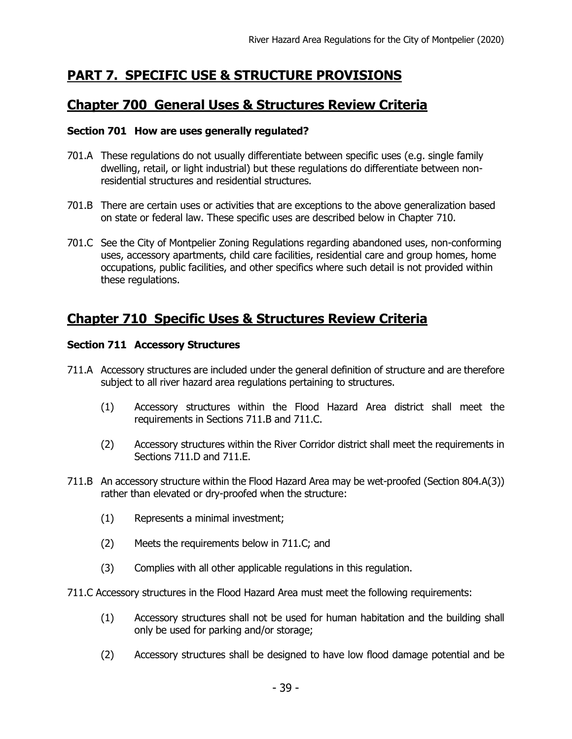### PART 7. SPECIFIC USE & STRUCTURE PROVISIONS

### Chapter 700 General Uses & Structures Review Criteria

#### Section 701 How are uses generally regulated?

- 701.A These regulations do not usually differentiate between specific uses (e.g. single family dwelling, retail, or light industrial) but these regulations do differentiate between nonresidential structures and residential structures.
- 701.B There are certain uses or activities that are exceptions to the above generalization based on state or federal law. These specific uses are described below in Chapter 710.
- 701.C See the City of Montpelier Zoning Regulations regarding abandoned uses, non-conforming uses, accessory apartments, child care facilities, residential care and group homes, home occupations, public facilities, and other specifics where such detail is not provided within these regulations.

### Chapter 710 Specific Uses & Structures Review Criteria

#### Section 711 Accessory Structures

- 711.A Accessory structures are included under the general definition of structure and are therefore subject to all river hazard area regulations pertaining to structures.
	- (1) Accessory structures within the Flood Hazard Area district shall meet the requirements in Sections 711.B and 711.C.
	- (2) Accessory structures within the River Corridor district shall meet the requirements in Sections 711.D and 711.E.
- 711.B An accessory structure within the Flood Hazard Area may be wet-proofed (Section 804.A(3)) rather than elevated or dry-proofed when the structure:
	- (1) Represents a minimal investment;
	- (2) Meets the requirements below in 711.C; and
	- (3) Complies with all other applicable regulations in this regulation.

711.C Accessory structures in the Flood Hazard Area must meet the following requirements:

- (1) Accessory structures shall not be used for human habitation and the building shall only be used for parking and/or storage;
- (2) Accessory structures shall be designed to have low flood damage potential and be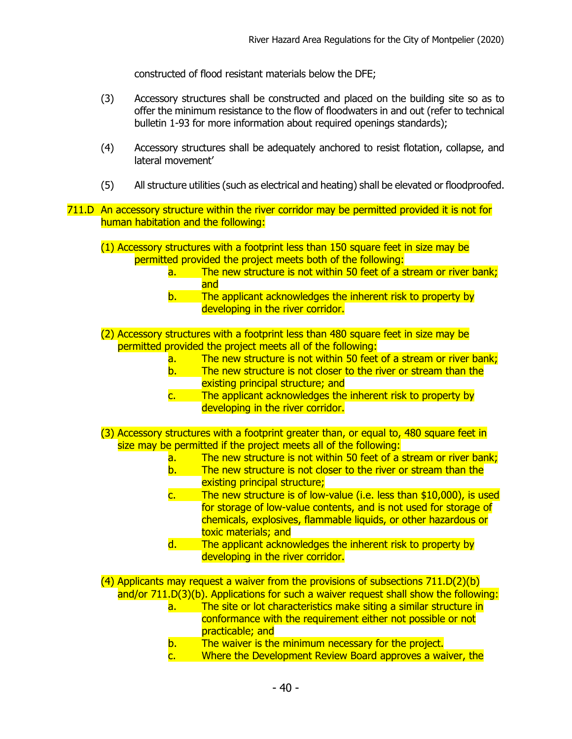constructed of flood resistant materials below the DFE;

- (3) Accessory structures shall be constructed and placed on the building site so as to offer the minimum resistance to the flow of floodwaters in and out (refer to technical bulletin 1-93 for more information about required openings standards);
- (4) Accessory structures shall be adequately anchored to resist flotation, collapse, and lateral movement'
- (5) All structure utilities (such as electrical and heating) shall be elevated or floodproofed.

#### 711.D An accessory structure within the river corridor may be permitted provided it is not for human habitation and the following:

(1) Accessory structures with a footprint less than 150 square feet in size may be permitted provided the project meets both of the following:

- a. The new structure is not within 50 feet of a stream or river bank; and
- b. The applicant acknowledges the inherent risk to property by developing in the river corridor.
- (2) Accessory structures with a footprint less than 480 square feet in size may be permitted provided the project meets all of the following:
	- a. The new structure is not within 50 feet of a stream or river bank;
	- b. The new structure is not closer to the river or stream than the existing principal structure; and
	- c. The applicant acknowledges the inherent risk to property by developing in the river corridor.
- (3) Accessory structures with a footprint greater than, or equal to, 480 square feet in size may be permitted if the project meets all of the following:
	- a. The new structure is not within 50 feet of a stream or river bank;
	- b. The new structure is not closer to the river or stream than the existing principal structure;
	- c. The new structure is of low-value (i.e. less than \$10,000), is used for storage of low-value contents, and is not used for storage of chemicals, explosives, flammable liquids, or other hazardous or toxic materials; and
	- d. The applicant acknowledges the inherent risk to property by developing in the river corridor.

(4) Applicants may request a waiver from the provisions of subsections 711.D(2)(b) and/or 711.D(3)(b). Applications for such a waiver request shall show the following:

- a. The site or lot characteristics make siting a similar structure in conformance with the requirement either not possible or not practicable; and
- b. The waiver is the minimum necessary for the project.
- c. Where the Development Review Board approves a waiver, the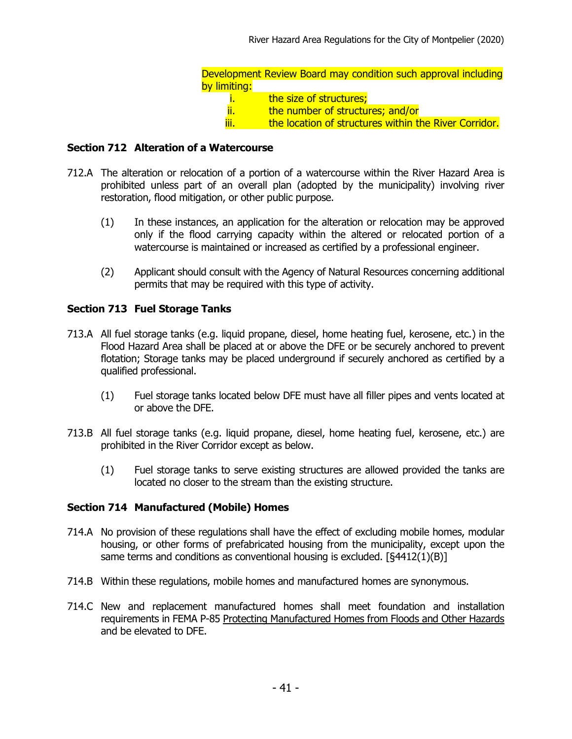Development Review Board may condition such approval including by limiting:

- i. the size of structures:
- ii. the number of structures; and/or
- iii. the location of structures within the River Corridor.

#### Section 712 Alteration of a Watercourse

- 712.A The alteration or relocation of a portion of a watercourse within the River Hazard Area is prohibited unless part of an overall plan (adopted by the municipality) involving river restoration, flood mitigation, or other public purpose.
	- (1) In these instances, an application for the alteration or relocation may be approved only if the flood carrying capacity within the altered or relocated portion of a watercourse is maintained or increased as certified by a professional engineer.
	- (2) Applicant should consult with the Agency of Natural Resources concerning additional permits that may be required with this type of activity.

#### Section 713 Fuel Storage Tanks

- 713.A All fuel storage tanks (e.g. liquid propane, diesel, home heating fuel, kerosene, etc.) in the Flood Hazard Area shall be placed at or above the DFE or be securely anchored to prevent flotation; Storage tanks may be placed underground if securely anchored as certified by a qualified professional.
	- (1) Fuel storage tanks located below DFE must have all filler pipes and vents located at or above the DFE.
- 713.B All fuel storage tanks (e.g. liquid propane, diesel, home heating fuel, kerosene, etc.) are prohibited in the River Corridor except as below.
	- (1) Fuel storage tanks to serve existing structures are allowed provided the tanks are located no closer to the stream than the existing structure.

#### Section 714 Manufactured (Mobile) Homes

- 714.A No provision of these regulations shall have the effect of excluding mobile homes, modular housing, or other forms of prefabricated housing from the municipality, except upon the same terms and conditions as conventional housing is excluded. [§4412(1)(B)]
- 714.B Within these regulations, mobile homes and manufactured homes are synonymous.
- 714.C New and replacement manufactured homes shall meet foundation and installation requirements in FEMA P-85 Protecting Manufactured Homes from Floods and Other Hazards and be elevated to DFE.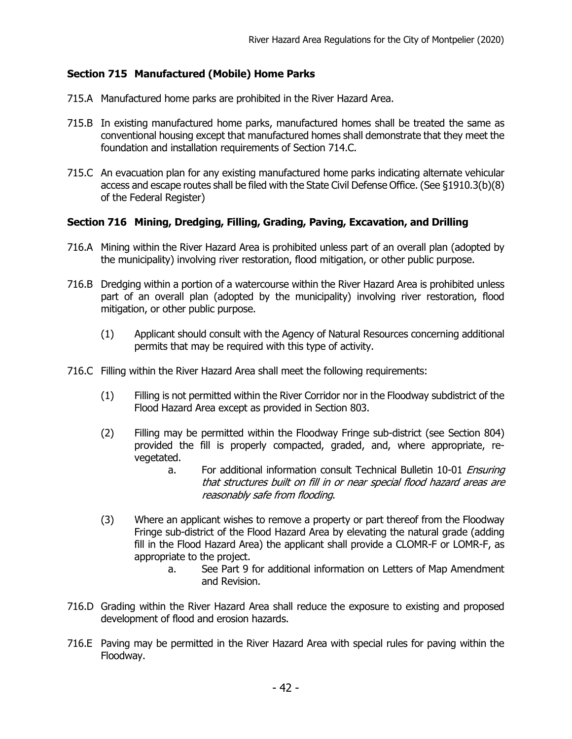#### Section 715 Manufactured (Mobile) Home Parks

- 715.A Manufactured home parks are prohibited in the River Hazard Area.
- 715.B In existing manufactured home parks, manufactured homes shall be treated the same as conventional housing except that manufactured homes shall demonstrate that they meet the foundation and installation requirements of Section 714.C.
- 715.C An evacuation plan for any existing manufactured home parks indicating alternate vehicular access and escape routes shall be filed with the State Civil Defense Office. (See §1910.3(b)(8) of the Federal Register)

#### Section 716 Mining, Dredging, Filling, Grading, Paving, Excavation, and Drilling

- 716.A Mining within the River Hazard Area is prohibited unless part of an overall plan (adopted by the municipality) involving river restoration, flood mitigation, or other public purpose.
- 716.B Dredging within a portion of a watercourse within the River Hazard Area is prohibited unless part of an overall plan (adopted by the municipality) involving river restoration, flood mitigation, or other public purpose.
	- (1) Applicant should consult with the Agency of Natural Resources concerning additional permits that may be required with this type of activity.
- 716.C Filling within the River Hazard Area shall meet the following requirements:
	- (1) Filling is not permitted within the River Corridor nor in the Floodway subdistrict of the Flood Hazard Area except as provided in Section 803.
	- (2) Filling may be permitted within the Floodway Fringe sub-district (see Section 804) provided the fill is properly compacted, graded, and, where appropriate, revegetated.
		- a. For additional information consult Technical Bulletin 10-01 Ensuring that structures built on fill in or near special flood hazard areas are reasonably safe from flooding.
	- (3) Where an applicant wishes to remove a property or part thereof from the Floodway Fringe sub-district of the Flood Hazard Area by elevating the natural grade (adding fill in the Flood Hazard Area) the applicant shall provide a CLOMR-F or LOMR-F, as appropriate to the project.
		- a. See Part 9 for additional information on Letters of Map Amendment and Revision.
- 716.D Grading within the River Hazard Area shall reduce the exposure to existing and proposed development of flood and erosion hazards.
- 716.E Paving may be permitted in the River Hazard Area with special rules for paving within the Floodway.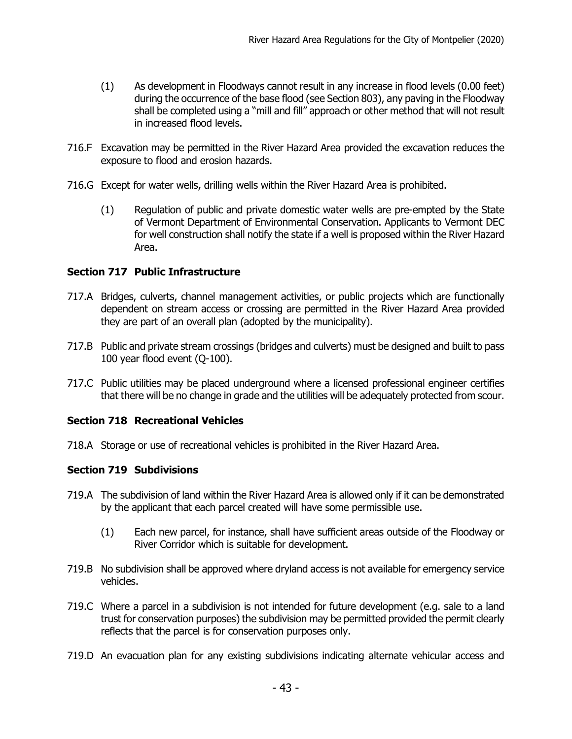- (1) As development in Floodways cannot result in any increase in flood levels (0.00 feet) during the occurrence of the base flood (see Section 803), any paving in the Floodway shall be completed using a "mill and fill" approach or other method that will not result in increased flood levels.
- 716.F Excavation may be permitted in the River Hazard Area provided the excavation reduces the exposure to flood and erosion hazards.
- 716.G Except for water wells, drilling wells within the River Hazard Area is prohibited.
	- (1) Regulation of public and private domestic water wells are pre-empted by the State of Vermont Department of Environmental Conservation. Applicants to Vermont DEC for well construction shall notify the state if a well is proposed within the River Hazard Area.

#### Section 717 Public Infrastructure

- 717.A Bridges, culverts, channel management activities, or public projects which are functionally dependent on stream access or crossing are permitted in the River Hazard Area provided they are part of an overall plan (adopted by the municipality).
- 717.B Public and private stream crossings (bridges and culverts) must be designed and built to pass 100 year flood event (Q-100).
- 717.C Public utilities may be placed underground where a licensed professional engineer certifies that there will be no change in grade and the utilities will be adequately protected from scour.

#### Section 718 Recreational Vehicles

718.A Storage or use of recreational vehicles is prohibited in the River Hazard Area.

#### Section 719 Subdivisions

- 719.A The subdivision of land within the River Hazard Area is allowed only if it can be demonstrated by the applicant that each parcel created will have some permissible use.
	- (1) Each new parcel, for instance, shall have sufficient areas outside of the Floodway or River Corridor which is suitable for development.
- 719.B No subdivision shall be approved where dryland access is not available for emergency service vehicles.
- 719.C Where a parcel in a subdivision is not intended for future development (e.g. sale to a land trust for conservation purposes) the subdivision may be permitted provided the permit clearly reflects that the parcel is for conservation purposes only.
- 719.D An evacuation plan for any existing subdivisions indicating alternate vehicular access and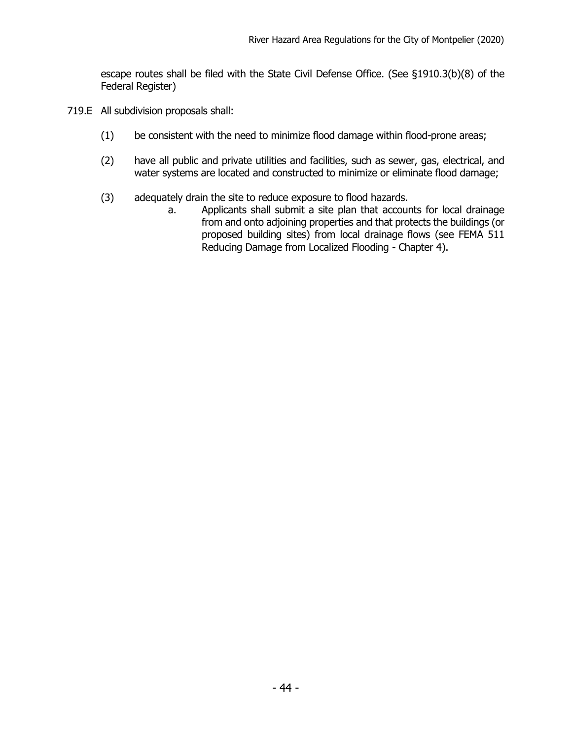escape routes shall be filed with the State Civil Defense Office. (See §1910.3(b)(8) of the Federal Register)

- 719.E All subdivision proposals shall:
	- (1) be consistent with the need to minimize flood damage within flood-prone areas;
	- (2) have all public and private utilities and facilities, such as sewer, gas, electrical, and water systems are located and constructed to minimize or eliminate flood damage;
	- (3) adequately drain the site to reduce exposure to flood hazards.
		- a. Applicants shall submit a site plan that accounts for local drainage from and onto adjoining properties and that protects the buildings (or proposed building sites) from local drainage flows (see FEMA 511 Reducing Damage from Localized Flooding - Chapter 4).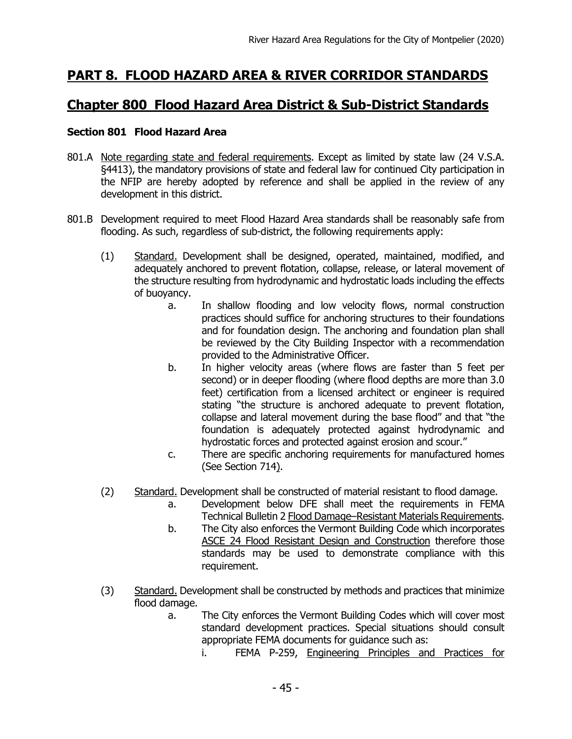### PART 8. FLOOD HAZARD AREA & RIVER CORRIDOR STANDARDS

### Chapter 800 Flood Hazard Area District & Sub-District Standards

#### Section 801 Flood Hazard Area

- 801.A Note regarding state and federal requirements. Except as limited by state law (24 V.S.A. §4413), the mandatory provisions of state and federal law for continued City participation in the NFIP are hereby adopted by reference and shall be applied in the review of any development in this district.
- 801.B Development required to meet Flood Hazard Area standards shall be reasonably safe from flooding. As such, regardless of sub-district, the following requirements apply:
	- (1) Standard. Development shall be designed, operated, maintained, modified, and adequately anchored to prevent flotation, collapse, release, or lateral movement of the structure resulting from hydrodynamic and hydrostatic loads including the effects of buoyancy.
		- a. In shallow flooding and low velocity flows, normal construction practices should suffice for anchoring structures to their foundations and for foundation design. The anchoring and foundation plan shall be reviewed by the City Building Inspector with a recommendation provided to the Administrative Officer.
		- b. In higher velocity areas (where flows are faster than 5 feet per second) or in deeper flooding (where flood depths are more than 3.0 feet) certification from a licensed architect or engineer is required stating "the structure is anchored adequate to prevent flotation, collapse and lateral movement during the base flood" and that "the foundation is adequately protected against hydrodynamic and hydrostatic forces and protected against erosion and scour."
		- c. There are specific anchoring requirements for manufactured homes (See Section 714).
	- (2) Standard. Development shall be constructed of material resistant to flood damage.
		- a. Development below DFE shall meet the requirements in FEMA Technical Bulletin 2 Flood Damage–Resistant Materials Requirements.
		- b. The City also enforces the Vermont Building Code which incorporates ASCE 24 Flood Resistant Design and Construction therefore those standards may be used to demonstrate compliance with this requirement.
	- (3) Standard. Development shall be constructed by methods and practices that minimize flood damage.
		- a. The City enforces the Vermont Building Codes which will cover most standard development practices. Special situations should consult appropriate FEMA documents for guidance such as:
			- i. FEMA P-259, Engineering Principles and Practices for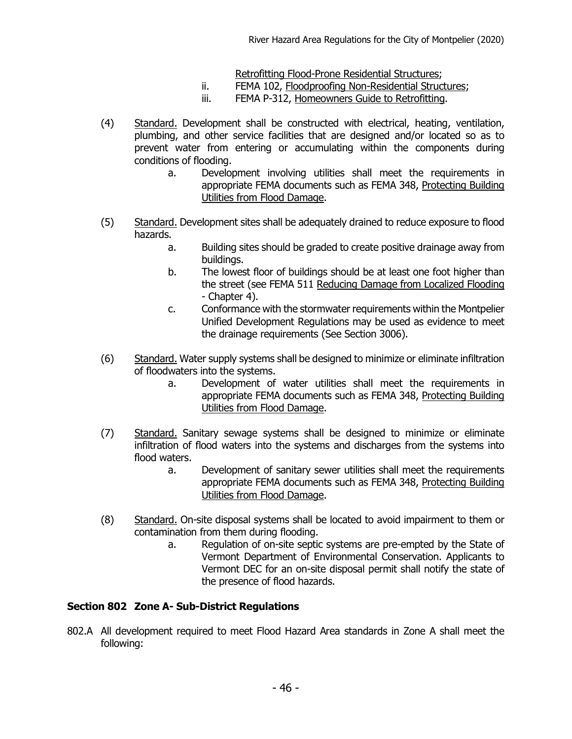Retrofitting Flood-Prone Residential Structures;

- ii. FEMA 102, Floodproofing Non-Residential Structures;
- iii. FEMA P-312, Homeowners Guide to Retrofitting.
- (4) Standard. Development shall be constructed with electrical, heating, ventilation, plumbing, and other service facilities that are designed and/or located so as to prevent water from entering or accumulating within the components during conditions of flooding.
	- a. Development involving utilities shall meet the requirements in appropriate FEMA documents such as FEMA 348, Protecting Building Utilities from Flood Damage.
- (5) Standard. Development sites shall be adequately drained to reduce exposure to flood hazards.
	- a. Building sites should be graded to create positive drainage away from buildings.
	- b. The lowest floor of buildings should be at least one foot higher than the street (see FEMA 511 Reducing Damage from Localized Flooding - Chapter 4).
	- c. Conformance with the stormwater requirements within the Montpelier Unified Development Regulations may be used as evidence to meet the drainage requirements (See Section 3006).
- (6) Standard. Water supply systems shall be designed to minimize or eliminate infiltration of floodwaters into the systems.
	- a. Development of water utilities shall meet the requirements in appropriate FEMA documents such as FEMA 348, Protecting Building Utilities from Flood Damage.
- (7) Standard. Sanitary sewage systems shall be designed to minimize or eliminate infiltration of flood waters into the systems and discharges from the systems into flood waters.
	- a. Development of sanitary sewer utilities shall meet the requirements appropriate FEMA documents such as FEMA 348, Protecting Building Utilities from Flood Damage.
- (8) Standard. On-site disposal systems shall be located to avoid impairment to them or contamination from them during flooding.
	- a. Regulation of on-site septic systems are pre-empted by the State of Vermont Department of Environmental Conservation. Applicants to Vermont DEC for an on-site disposal permit shall notify the state of the presence of flood hazards.

### Section 802 Zone A- Sub-District Regulations

802.A All development required to meet Flood Hazard Area standards in Zone A shall meet the following: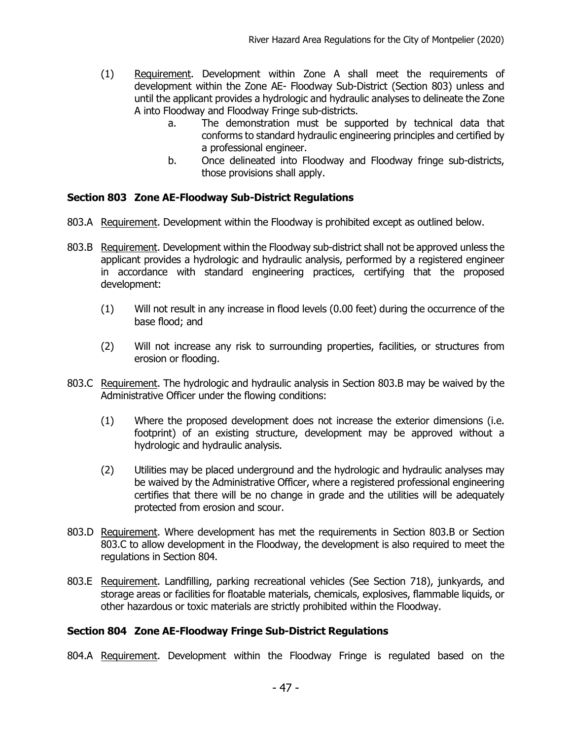- (1) Requirement. Development within Zone A shall meet the requirements of development within the Zone AE- Floodway Sub-District (Section 803) unless and until the applicant provides a hydrologic and hydraulic analyses to delineate the Zone A into Floodway and Floodway Fringe sub-districts.
	- a. The demonstration must be supported by technical data that conforms to standard hydraulic engineering principles and certified by a professional engineer.
	- b. Once delineated into Floodway and Floodway fringe sub-districts, those provisions shall apply.

#### Section 803 Zone AE-Floodway Sub-District Regulations

- 803.A Requirement. Development within the Floodway is prohibited except as outlined below.
- 803.B Requirement. Development within the Floodway sub-district shall not be approved unless the applicant provides a hydrologic and hydraulic analysis, performed by a registered engineer in accordance with standard engineering practices, certifying that the proposed development:
	- (1) Will not result in any increase in flood levels (0.00 feet) during the occurrence of the base flood; and
	- (2) Will not increase any risk to surrounding properties, facilities, or structures from erosion or flooding.
- 803.C Requirement. The hydrologic and hydraulic analysis in Section 803.B may be waived by the Administrative Officer under the flowing conditions:
	- (1) Where the proposed development does not increase the exterior dimensions (i.e. footprint) of an existing structure, development may be approved without a hydrologic and hydraulic analysis.
	- (2) Utilities may be placed underground and the hydrologic and hydraulic analyses may be waived by the Administrative Officer, where a registered professional engineering certifies that there will be no change in grade and the utilities will be adequately protected from erosion and scour.
- 803.D Requirement. Where development has met the requirements in Section 803.B or Section 803.C to allow development in the Floodway, the development is also required to meet the regulations in Section 804.
- 803.E Requirement. Landfilling, parking recreational vehicles (See Section 718), junkyards, and storage areas or facilities for floatable materials, chemicals, explosives, flammable liquids, or other hazardous or toxic materials are strictly prohibited within the Floodway.

#### Section 804 Zone AE-Floodway Fringe Sub-District Regulations

804.A Requirement. Development within the Floodway Fringe is regulated based on the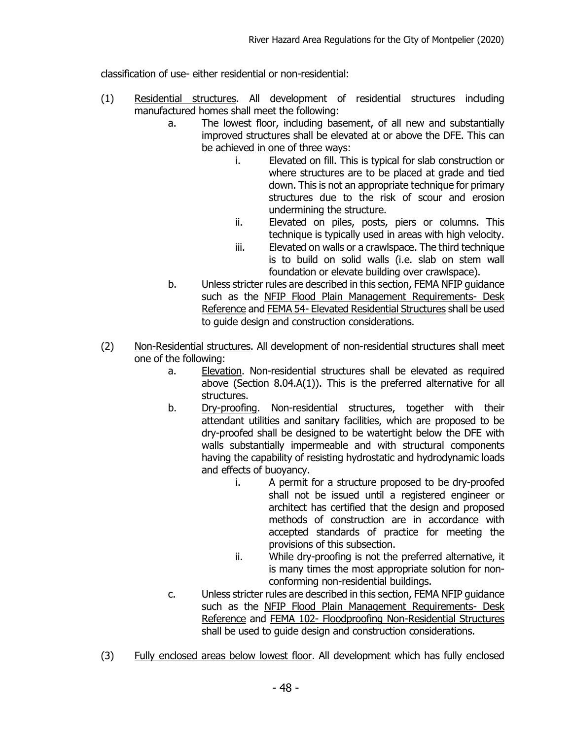classification of use- either residential or non-residential:

- (1) Residential structures. All development of residential structures including manufactured homes shall meet the following:
	- a. The lowest floor, including basement, of all new and substantially improved structures shall be elevated at or above the DFE. This can be achieved in one of three ways:
		- i. Elevated on fill. This is typical for slab construction or where structures are to be placed at grade and tied down. This is not an appropriate technique for primary structures due to the risk of scour and erosion undermining the structure.
		- ii. Elevated on piles, posts, piers or columns. This technique is typically used in areas with high velocity.
		- iii. Elevated on walls or a crawlspace. The third technique is to build on solid walls (i.e. slab on stem wall foundation or elevate building over crawlspace).
	- b. Unless stricter rules are described in this section, FEMA NFIP guidance such as the NFIP Flood Plain Management Requirements- Desk Reference and FEMA 54- Elevated Residential Structures shall be used to guide design and construction considerations.
- (2) Non-Residential structures. All development of non-residential structures shall meet one of the following:
	- a. Elevation. Non-residential structures shall be elevated as required above (Section 8.04.A(1)). This is the preferred alternative for all structures.
	- b. Dry-proofing. Non-residential structures, together with their attendant utilities and sanitary facilities, which are proposed to be dry-proofed shall be designed to be watertight below the DFE with walls substantially impermeable and with structural components having the capability of resisting hydrostatic and hydrodynamic loads and effects of buoyancy.
		- i. A permit for a structure proposed to be dry-proofed shall not be issued until a registered engineer or architect has certified that the design and proposed methods of construction are in accordance with accepted standards of practice for meeting the provisions of this subsection.
		- ii. While dry-proofing is not the preferred alternative, it is many times the most appropriate solution for nonconforming non-residential buildings.
	- c. Unless stricter rules are described in this section, FEMA NFIP guidance such as the NFIP Flood Plain Management Requirements- Desk Reference and FEMA 102- Floodproofing Non-Residential Structures shall be used to guide design and construction considerations.
- (3) Fully enclosed areas below lowest floor. All development which has fully enclosed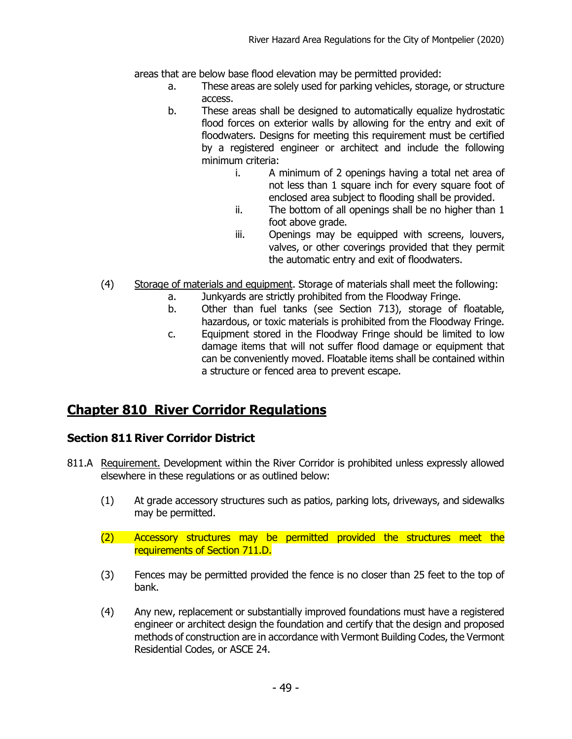areas that are below base flood elevation may be permitted provided:

- a. These areas are solely used for parking vehicles, storage, or structure access.
- b. These areas shall be designed to automatically equalize hydrostatic flood forces on exterior walls by allowing for the entry and exit of floodwaters. Designs for meeting this requirement must be certified by a registered engineer or architect and include the following minimum criteria:
	- i. A minimum of 2 openings having a total net area of not less than 1 square inch for every square foot of enclosed area subject to flooding shall be provided.
	- ii. The bottom of all openings shall be no higher than 1 foot above grade.
	- iii. Openings may be equipped with screens, louvers, valves, or other coverings provided that they permit the automatic entry and exit of floodwaters.
- (4) Storage of materials and equipment. Storage of materials shall meet the following:
	- a. Junkyards are strictly prohibited from the Floodway Fringe.
	- b. Other than fuel tanks (see Section 713), storage of floatable, hazardous, or toxic materials is prohibited from the Floodway Fringe.
	- c. Equipment stored in the Floodway Fringe should be limited to low damage items that will not suffer flood damage or equipment that can be conveniently moved. Floatable items shall be contained within a structure or fenced area to prevent escape.

### Chapter 810 River Corridor Regulations

### Section 811 River Corridor District

- 811.A Requirement. Development within the River Corridor is prohibited unless expressly allowed elsewhere in these regulations or as outlined below:
	- (1) At grade accessory structures such as patios, parking lots, driveways, and sidewalks may be permitted.
	- (2) Accessory structures may be permitted provided the structures meet the requirements of Section 711.D.
	- (3) Fences may be permitted provided the fence is no closer than 25 feet to the top of bank.
	- (4) Any new, replacement or substantially improved foundations must have a registered engineer or architect design the foundation and certify that the design and proposed methods of construction are in accordance with Vermont Building Codes, the Vermont Residential Codes, or ASCE 24.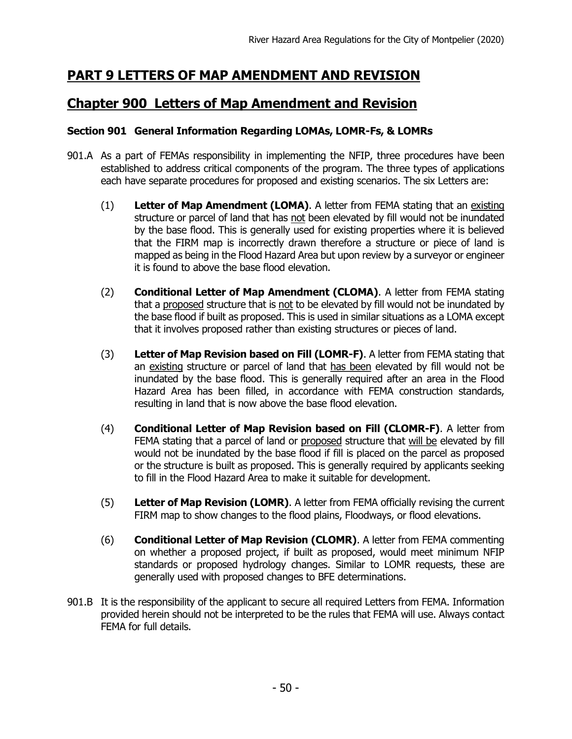### PART 9 LETTERS OF MAP AMENDMENT AND REVISION

### Chapter 900 Letters of Map Amendment and Revision

#### Section 901 General Information Regarding LOMAs, LOMR-Fs, & LOMRs

- 901.A As a part of FEMAs responsibility in implementing the NFIP, three procedures have been established to address critical components of the program. The three types of applications each have separate procedures for proposed and existing scenarios. The six Letters are:
	- $(1)$  Letter of Map Amendment (LOMA). A letter from FEMA stating that an existing structure or parcel of land that has not been elevated by fill would not be inundated by the base flood. This is generally used for existing properties where it is believed that the FIRM map is incorrectly drawn therefore a structure or piece of land is mapped as being in the Flood Hazard Area but upon review by a surveyor or engineer it is found to above the base flood elevation.
	- (2) Conditional Letter of Map Amendment (CLOMA). A letter from FEMA stating that a proposed structure that is not to be elevated by fill would not be inundated by the base flood if built as proposed. This is used in similar situations as a LOMA except that it involves proposed rather than existing structures or pieces of land.
	- (3) Letter of Map Revision based on Fill (LOMR-F). A letter from FEMA stating that an existing structure or parcel of land that has been elevated by fill would not be inundated by the base flood. This is generally required after an area in the Flood Hazard Area has been filled, in accordance with FEMA construction standards, resulting in land that is now above the base flood elevation.
	- (4) Conditional Letter of Map Revision based on Fill (CLOMR-F). A letter from FEMA stating that a parcel of land or proposed structure that will be elevated by fill would not be inundated by the base flood if fill is placed on the parcel as proposed or the structure is built as proposed. This is generally required by applicants seeking to fill in the Flood Hazard Area to make it suitable for development.
	- (5) Letter of Map Revision (LOMR). A letter from FEMA officially revising the current FIRM map to show changes to the flood plains, Floodways, or flood elevations.
	- (6) Conditional Letter of Map Revision (CLOMR). A letter from FEMA commenting on whether a proposed project, if built as proposed, would meet minimum NFIP standards or proposed hydrology changes. Similar to LOMR requests, these are generally used with proposed changes to BFE determinations.
- 901.B It is the responsibility of the applicant to secure all required Letters from FEMA. Information provided herein should not be interpreted to be the rules that FEMA will use. Always contact FEMA for full details.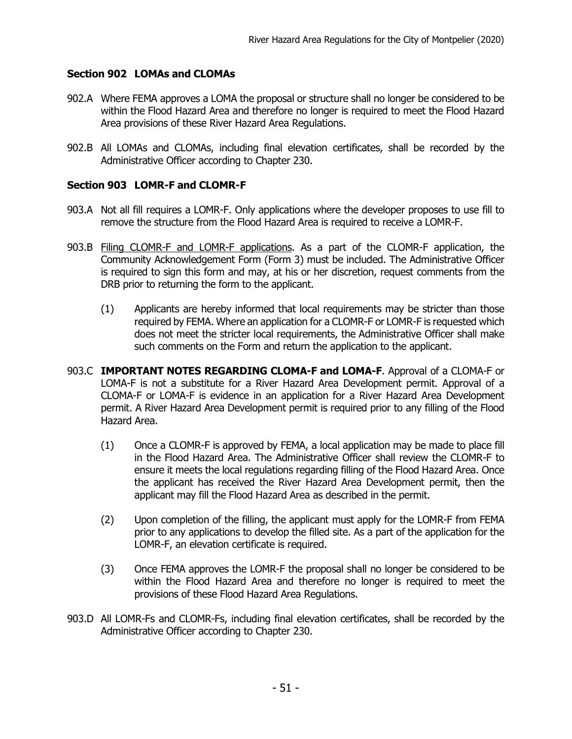#### Section 902 LOMAs and CLOMAs

- 902.A Where FEMA approves a LOMA the proposal or structure shall no longer be considered to be within the Flood Hazard Area and therefore no longer is required to meet the Flood Hazard Area provisions of these River Hazard Area Regulations.
- 902.B All LOMAs and CLOMAs, including final elevation certificates, shall be recorded by the Administrative Officer according to Chapter 230.

#### Section 903 LOMR-F and CLOMR-F

- 903.A Not all fill requires a LOMR-F. Only applications where the developer proposes to use fill to remove the structure from the Flood Hazard Area is required to receive a LOMR-F.
- 903.B Filing CLOMR-F and LOMR-F applications. As a part of the CLOMR-F application, the Community Acknowledgement Form (Form 3) must be included. The Administrative Officer is required to sign this form and may, at his or her discretion, request comments from the DRB prior to returning the form to the applicant.
	- (1) Applicants are hereby informed that local requirements may be stricter than those required by FEMA. Where an application for a CLOMR-F or LOMR-F is requested which does not meet the stricter local requirements, the Administrative Officer shall make such comments on the Form and return the application to the applicant.
- 903.C **IMPORTANT NOTES REGARDING CLOMA-F and LOMA-F**. Approval of a CLOMA-F or LOMA-F is not a substitute for a River Hazard Area Development permit. Approval of a CLOMA-F or LOMA-F is evidence in an application for a River Hazard Area Development permit. A River Hazard Area Development permit is required prior to any filling of the Flood Hazard Area.
	- (1) Once a CLOMR-F is approved by FEMA, a local application may be made to place fill in the Flood Hazard Area. The Administrative Officer shall review the CLOMR-F to ensure it meets the local regulations regarding filling of the Flood Hazard Area. Once the applicant has received the River Hazard Area Development permit, then the applicant may fill the Flood Hazard Area as described in the permit.
	- (2) Upon completion of the filling, the applicant must apply for the LOMR-F from FEMA prior to any applications to develop the filled site. As a part of the application for the LOMR-F, an elevation certificate is required.
	- (3) Once FEMA approves the LOMR-F the proposal shall no longer be considered to be within the Flood Hazard Area and therefore no longer is required to meet the provisions of these Flood Hazard Area Regulations.
- 903.D All LOMR-Fs and CLOMR-Fs, including final elevation certificates, shall be recorded by the Administrative Officer according to Chapter 230.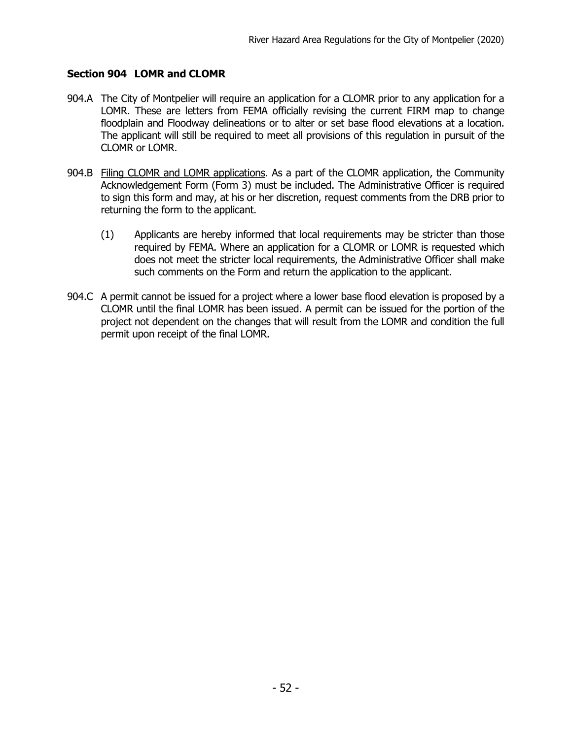#### Section 904 LOMR and CLOMR

- 904.A The City of Montpelier will require an application for a CLOMR prior to any application for a LOMR. These are letters from FEMA officially revising the current FIRM map to change floodplain and Floodway delineations or to alter or set base flood elevations at a location. The applicant will still be required to meet all provisions of this regulation in pursuit of the CLOMR or LOMR.
- 904.B Filing CLOMR and LOMR applications. As a part of the CLOMR application, the Community Acknowledgement Form (Form 3) must be included. The Administrative Officer is required to sign this form and may, at his or her discretion, request comments from the DRB prior to returning the form to the applicant.
	- (1) Applicants are hereby informed that local requirements may be stricter than those required by FEMA. Where an application for a CLOMR or LOMR is requested which does not meet the stricter local requirements, the Administrative Officer shall make such comments on the Form and return the application to the applicant.
- 904.C A permit cannot be issued for a project where a lower base flood elevation is proposed by a CLOMR until the final LOMR has been issued. A permit can be issued for the portion of the project not dependent on the changes that will result from the LOMR and condition the full permit upon receipt of the final LOMR.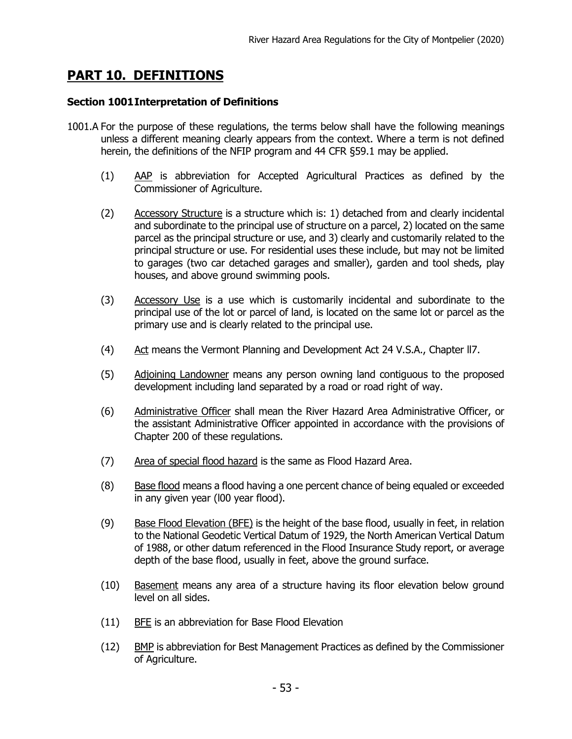## PART 10. DEFINITIONS

#### Section 1001 Interpretation of Definitions

- 1001.A For the purpose of these regulations, the terms below shall have the following meanings unless a different meaning clearly appears from the context. Where a term is not defined herein, the definitions of the NFIP program and 44 CFR §59.1 may be applied.
	- (1) AAP is abbreviation for Accepted Agricultural Practices as defined by the Commissioner of Agriculture.
	- (2) Accessory Structure is a structure which is: 1) detached from and clearly incidental and subordinate to the principal use of structure on a parcel, 2) located on the same parcel as the principal structure or use, and 3) clearly and customarily related to the principal structure or use. For residential uses these include, but may not be limited to garages (two car detached garages and smaller), garden and tool sheds, play houses, and above ground swimming pools.
	- (3) Accessory Use is a use which is customarily incidental and subordinate to the principal use of the lot or parcel of land, is located on the same lot or parcel as the primary use and is clearly related to the principal use.
	- (4) Act means the Vermont Planning and Development Act 24 V.S.A., Chapter II7.
	- (5) Adjoining Landowner means any person owning land contiguous to the proposed development including land separated by a road or road right of way.
	- (6) Administrative Officer shall mean the River Hazard Area Administrative Officer, or the assistant Administrative Officer appointed in accordance with the provisions of Chapter 200 of these regulations.
	- (7) Area of special flood hazard is the same as Flood Hazard Area.
	- (8) Base flood means a flood having a one percent chance of being equaled or exceeded in any given year (l00 year flood).
	- (9) Base Flood Elevation (BFE) is the height of the base flood, usually in feet, in relation to the National Geodetic Vertical Datum of 1929, the North American Vertical Datum of 1988, or other datum referenced in the Flood Insurance Study report, or average depth of the base flood, usually in feet, above the ground surface.
	- (10) Basement means any area of a structure having its floor elevation below ground level on all sides.
	- (11) BFE is an abbreviation for Base Flood Elevation
	- (12) BMP is abbreviation for Best Management Practices as defined by the Commissioner of Agriculture.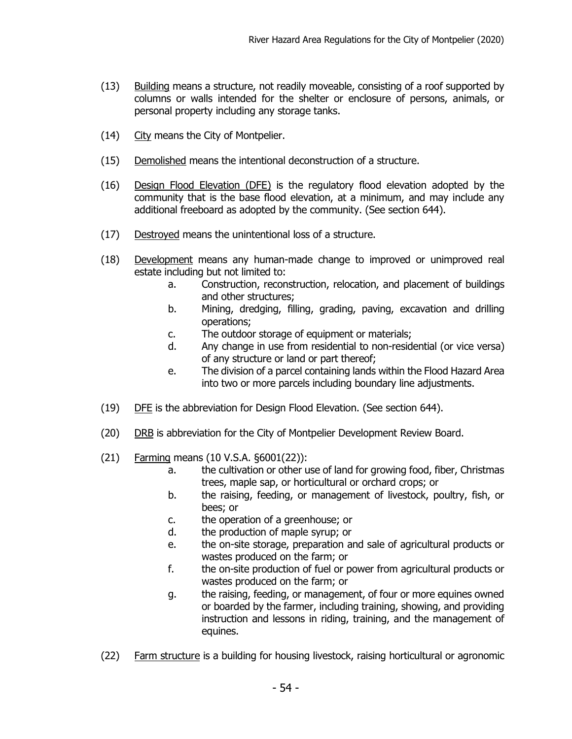- (13) Building means a structure, not readily moveable, consisting of a roof supported by columns or walls intended for the shelter or enclosure of persons, animals, or personal property including any storage tanks.
- (14) City means the City of Montpelier.
- (15) Demolished means the intentional deconstruction of a structure.
- (16) Design Flood Elevation (DFE) is the regulatory flood elevation adopted by the community that is the base flood elevation, at a minimum, and may include any additional freeboard as adopted by the community. (See section 644).
- (17) Destroyed means the unintentional loss of a structure.
- (18) Development means any human-made change to improved or unimproved real estate including but not limited to:
	- a. Construction, reconstruction, relocation, and placement of buildings and other structures;
	- b. Mining, dredging, filling, grading, paving, excavation and drilling operations;
	- c. The outdoor storage of equipment or materials;
	- d. Any change in use from residential to non-residential (or vice versa) of any structure or land or part thereof;
	- e. The division of a parcel containing lands within the Flood Hazard Area into two or more parcels including boundary line adjustments.
- (19) DFE is the abbreviation for Design Flood Elevation. (See section 644).
- (20) DRB is abbreviation for the City of Montpelier Development Review Board.
- (21) Farming means (10 V.S.A. §6001(22)):
	- a. the cultivation or other use of land for growing food, fiber, Christmas trees, maple sap, or horticultural or orchard crops; or
	- b. the raising, feeding, or management of livestock, poultry, fish, or bees; or
	- c. the operation of a greenhouse; or
	- d. the production of maple syrup; or
	- e. the on-site storage, preparation and sale of agricultural products or wastes produced on the farm; or
	- f. the on-site production of fuel or power from agricultural products or wastes produced on the farm; or
	- g. the raising, feeding, or management, of four or more equines owned or boarded by the farmer, including training, showing, and providing instruction and lessons in riding, training, and the management of equines.
- (22) Farm structure is a building for housing livestock, raising horticultural or agronomic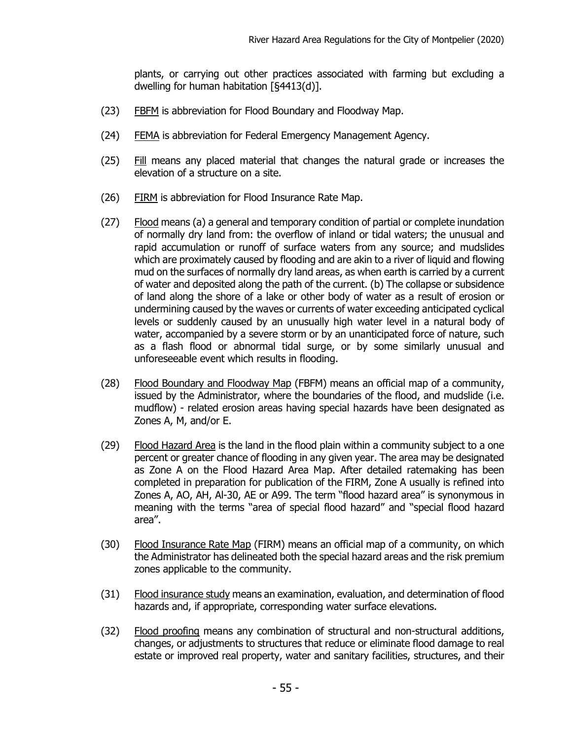plants, or carrying out other practices associated with farming but excluding a dwelling for human habitation [§4413(d)].

- (23) FBFM is abbreviation for Flood Boundary and Floodway Map.
- (24) FEMA is abbreviation for Federal Emergency Management Agency.
- (25) Fill means any placed material that changes the natural grade or increases the elevation of a structure on a site.
- (26) FIRM is abbreviation for Flood Insurance Rate Map.
- (27) Flood means (a) a general and temporary condition of partial or complete inundation of normally dry land from: the overflow of inland or tidal waters; the unusual and rapid accumulation or runoff of surface waters from any source; and mudslides which are proximately caused by flooding and are akin to a river of liquid and flowing mud on the surfaces of normally dry land areas, as when earth is carried by a current of water and deposited along the path of the current. (b) The collapse or subsidence of land along the shore of a lake or other body of water as a result of erosion or undermining caused by the waves or currents of water exceeding anticipated cyclical levels or suddenly caused by an unusually high water level in a natural body of water, accompanied by a severe storm or by an unanticipated force of nature, such as a flash flood or abnormal tidal surge, or by some similarly unusual and unforeseeable event which results in flooding.
- (28) Flood Boundary and Floodway Map (FBFM) means an official map of a community, issued by the Administrator, where the boundaries of the flood, and mudslide (i.e. mudflow) - related erosion areas having special hazards have been designated as Zones A, M, and/or E.
- (29) Flood Hazard Area is the land in the flood plain within a community subject to a one percent or greater chance of flooding in any given year. The area may be designated as Zone A on the Flood Hazard Area Map. After detailed ratemaking has been completed in preparation for publication of the FIRM, Zone A usually is refined into Zones A, AO, AH, Al-30, AE or A99. The term "flood hazard area" is synonymous in meaning with the terms "area of special flood hazard" and "special flood hazard area".
- (30) Flood Insurance Rate Map (FIRM) means an official map of a community, on which the Administrator has delineated both the special hazard areas and the risk premium zones applicable to the community.
- (31) Flood insurance study means an examination, evaluation, and determination of flood hazards and, if appropriate, corresponding water surface elevations.
- (32) Flood proofing means any combination of structural and non-structural additions, changes, or adjustments to structures that reduce or eliminate flood damage to real estate or improved real property, water and sanitary facilities, structures, and their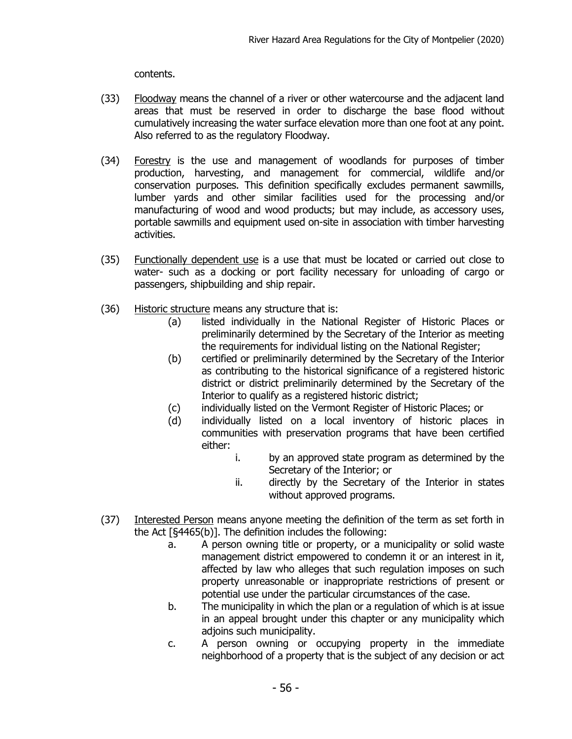contents.

- (33) Floodway means the channel of a river or other watercourse and the adjacent land areas that must be reserved in order to discharge the base flood without cumulatively increasing the water surface elevation more than one foot at any point. Also referred to as the regulatory Floodway.
- (34) Forestry is the use and management of woodlands for purposes of timber production, harvesting, and management for commercial, wildlife and/or conservation purposes. This definition specifically excludes permanent sawmills, lumber yards and other similar facilities used for the processing and/or manufacturing of wood and wood products; but may include, as accessory uses, portable sawmills and equipment used on-site in association with timber harvesting activities.
- (35) Functionally dependent use is a use that must be located or carried out close to water- such as a docking or port facility necessary for unloading of cargo or passengers, shipbuilding and ship repair.
- (36) Historic structure means any structure that is:
	- (a) listed individually in the National Register of Historic Places or preliminarily determined by the Secretary of the Interior as meeting the requirements for individual listing on the National Register;
	- (b) certified or preliminarily determined by the Secretary of the Interior as contributing to the historical significance of a registered historic district or district preliminarily determined by the Secretary of the Interior to qualify as a registered historic district;
	- (c) individually listed on the Vermont Register of Historic Places; or
	- (d) individually listed on a local inventory of historic places in communities with preservation programs that have been certified either:
		- i. by an approved state program as determined by the Secretary of the Interior; or
		- ii. directly by the Secretary of the Interior in states without approved programs.
- (37) Interested Person means anyone meeting the definition of the term as set forth in the Act [§4465(b)]. The definition includes the following:
	- a. A person owning title or property, or a municipality or solid waste management district empowered to condemn it or an interest in it, affected by law who alleges that such regulation imposes on such property unreasonable or inappropriate restrictions of present or potential use under the particular circumstances of the case.
	- b. The municipality in which the plan or a regulation of which is at issue in an appeal brought under this chapter or any municipality which adjoins such municipality.
	- c. A person owning or occupying property in the immediate neighborhood of a property that is the subject of any decision or act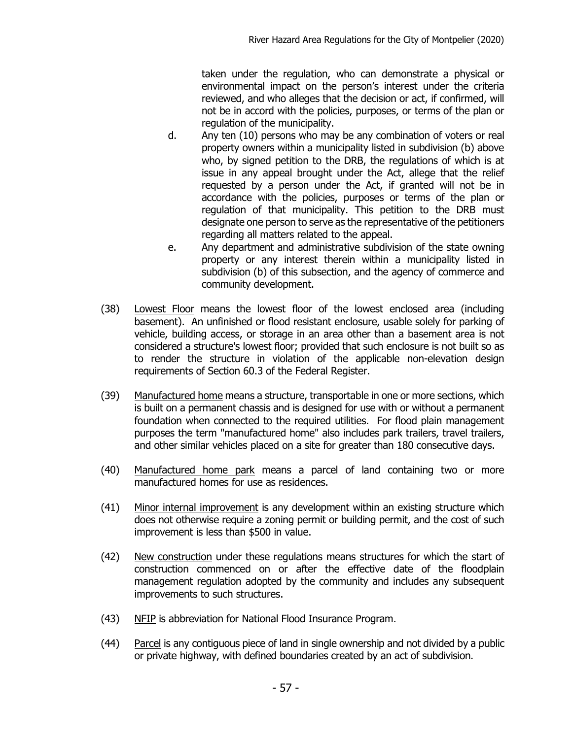taken under the regulation, who can demonstrate a physical or environmental impact on the person's interest under the criteria reviewed, and who alleges that the decision or act, if confirmed, will not be in accord with the policies, purposes, or terms of the plan or regulation of the municipality.

- d. Any ten (10) persons who may be any combination of voters or real property owners within a municipality listed in subdivision (b) above who, by signed petition to the DRB, the regulations of which is at issue in any appeal brought under the Act, allege that the relief requested by a person under the Act, if granted will not be in accordance with the policies, purposes or terms of the plan or regulation of that municipality. This petition to the DRB must designate one person to serve as the representative of the petitioners regarding all matters related to the appeal.
- e. Any department and administrative subdivision of the state owning property or any interest therein within a municipality listed in subdivision (b) of this subsection, and the agency of commerce and community development.
- (38) Lowest Floor means the lowest floor of the lowest enclosed area (including basement). An unfinished or flood resistant enclosure, usable solely for parking of vehicle, building access, or storage in an area other than a basement area is not considered a structure's lowest floor; provided that such enclosure is not built so as to render the structure in violation of the applicable non-elevation design requirements of Section 60.3 of the Federal Register.
- (39) Manufactured home means a structure, transportable in one or more sections, which is built on a permanent chassis and is designed for use with or without a permanent foundation when connected to the required utilities. For flood plain management purposes the term "manufactured home" also includes park trailers, travel trailers, and other similar vehicles placed on a site for greater than 180 consecutive days.
- (40) Manufactured home park means a parcel of land containing two or more manufactured homes for use as residences.
- (41) Minor internal improvement is any development within an existing structure which does not otherwise require a zoning permit or building permit, and the cost of such improvement is less than \$500 in value.
- (42) New construction under these regulations means structures for which the start of construction commenced on or after the effective date of the floodplain management regulation adopted by the community and includes any subsequent improvements to such structures.
- (43) NFIP is abbreviation for National Flood Insurance Program.
- (44) Parcel is any contiguous piece of land in single ownership and not divided by a public or private highway, with defined boundaries created by an act of subdivision.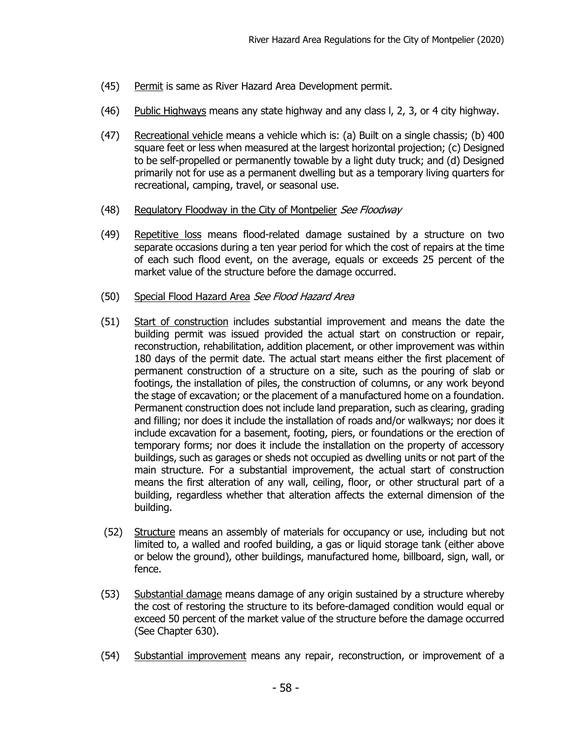- (45) Permit is same as River Hazard Area Development permit.
- (46) Public Highways means any state highway and any class l, 2, 3, or 4 city highway.
- (47) Recreational vehicle means a vehicle which is: (a) Built on a single chassis; (b) 400 square feet or less when measured at the largest horizontal projection; (c) Designed to be self-propelled or permanently towable by a light duty truck; and (d) Designed primarily not for use as a permanent dwelling but as a temporary living quarters for recreational, camping, travel, or seasonal use.
- (48) Regulatory Floodway in the City of Montpelier See Floodway
- (49) Repetitive loss means flood-related damage sustained by a structure on two separate occasions during a ten year period for which the cost of repairs at the time of each such flood event, on the average, equals or exceeds 25 percent of the market value of the structure before the damage occurred.
- (50) Special Flood Hazard Area See Flood Hazard Area
- (51) Start of construction includes substantial improvement and means the date the building permit was issued provided the actual start on construction or repair, reconstruction, rehabilitation, addition placement, or other improvement was within 180 days of the permit date. The actual start means either the first placement of permanent construction of a structure on a site, such as the pouring of slab or footings, the installation of piles, the construction of columns, or any work beyond the stage of excavation; or the placement of a manufactured home on a foundation. Permanent construction does not include land preparation, such as clearing, grading and filling; nor does it include the installation of roads and/or walkways; nor does it include excavation for a basement, footing, piers, or foundations or the erection of temporary forms; nor does it include the installation on the property of accessory buildings, such as garages or sheds not occupied as dwelling units or not part of the main structure. For a substantial improvement, the actual start of construction means the first alteration of any wall, ceiling, floor, or other structural part of a building, regardless whether that alteration affects the external dimension of the building.
- (52) Structure means an assembly of materials for occupancy or use, including but not limited to, a walled and roofed building, a gas or liquid storage tank (either above or below the ground), other buildings, manufactured home, billboard, sign, wall, or fence.
- (53) Substantial damage means damage of any origin sustained by a structure whereby the cost of restoring the structure to its before-damaged condition would equal or exceed 50 percent of the market value of the structure before the damage occurred (See Chapter 630).
- (54) Substantial improvement means any repair, reconstruction, or improvement of a